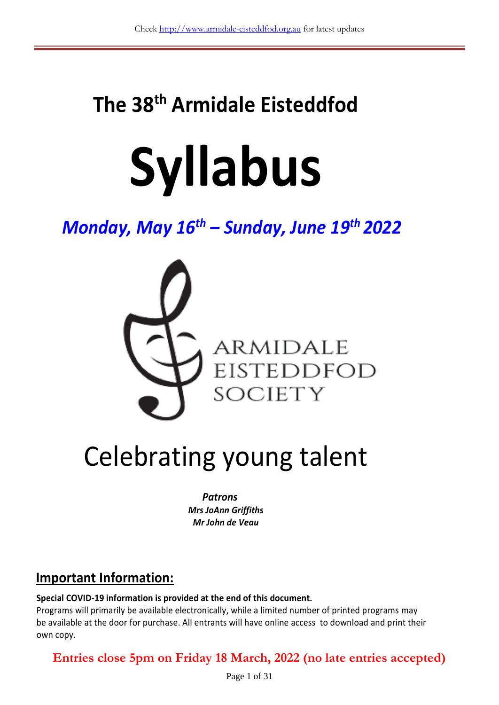# **The 38 th Armidale Eisteddfod**

# **Syllabus**

# *Monday, May 16 th – Sunday, June 19th 2022*



# Celebrating young talent

*Patrons Mrs JoAnn Griffiths Mr John de Veau*

## **Important Information:**

**Special COVID-19 information is provided at the end of this document.**

Programs will primarily be available electronically, while a limited number of printed programs may be available at the door for purchase. All entrants will have online access to download and print their own copy.

**Entries close 5pm on Friday 18 March, 2022 (no late entries accepted)**

Page 1 of 31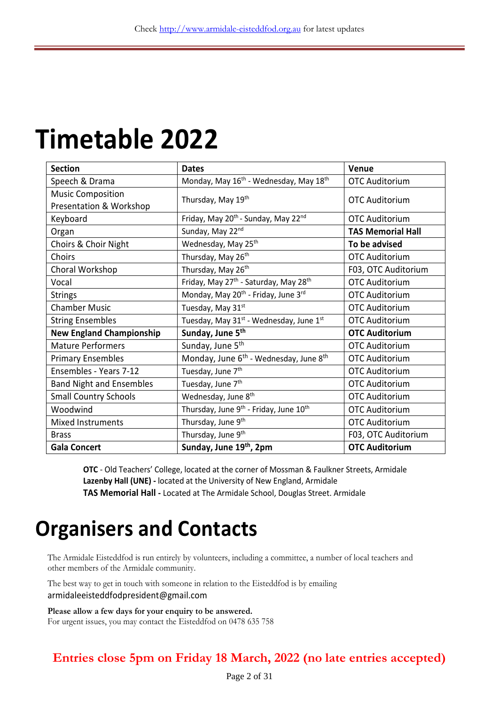# **Timetable 2022**

| <b>Section</b>                  | <b>Dates</b>                                                   | Venue                    |  |
|---------------------------------|----------------------------------------------------------------|--------------------------|--|
| Speech & Drama                  | Monday, May 16 <sup>th</sup> - Wednesday, May 18 <sup>th</sup> | <b>OTC Auditorium</b>    |  |
| <b>Music Composition</b>        |                                                                |                          |  |
| Presentation & Workshop         | Thursday, May 19 <sup>th</sup>                                 | <b>OTC Auditorium</b>    |  |
| Keyboard                        | Friday, May 20 <sup>th</sup> - Sunday, May 22 <sup>nd</sup>    | <b>OTC Auditorium</b>    |  |
| Organ                           | Sunday, May 22nd                                               | <b>TAS Memorial Hall</b> |  |
| Choirs & Choir Night            | Wednesday, May 25th                                            | To be advised            |  |
| Choirs                          | Thursday, May 26 <sup>th</sup>                                 | <b>OTC Auditorium</b>    |  |
| Choral Workshop                 | Thursday, May 26th                                             | F03, OTC Auditorium      |  |
| Vocal                           | Friday, May 27 <sup>th</sup> - Saturday, May 28 <sup>th</sup>  | <b>OTC Auditorium</b>    |  |
| <b>Strings</b>                  | Monday, May 20 <sup>th</sup> - Friday, June 3rd                | <b>OTC Auditorium</b>    |  |
| <b>Chamber Music</b>            | Tuesday, May 31st                                              | <b>OTC Auditorium</b>    |  |
| <b>String Ensembles</b>         | Tuesday, May 31 <sup>st</sup> - Wednesday, June 1st            | <b>OTC Auditorium</b>    |  |
| <b>New England Championship</b> | Sunday, June 5 <sup>th</sup>                                   | <b>OTC Auditorium</b>    |  |
| <b>Mature Performers</b>        | Sunday, June 5 <sup>th</sup>                                   | <b>OTC Auditorium</b>    |  |
| <b>Primary Ensembles</b>        | Monday, June 6 <sup>th</sup> - Wednesday, June 8 <sup>th</sup> | <b>OTC Auditorium</b>    |  |
| Ensembles - Years 7-12          | Tuesday, June 7 <sup>th</sup>                                  | <b>OTC Auditorium</b>    |  |
| <b>Band Night and Ensembles</b> | Tuesday, June 7 <sup>th</sup>                                  | <b>OTC Auditorium</b>    |  |
| <b>Small Country Schools</b>    | Wednesday, June 8th                                            | <b>OTC Auditorium</b>    |  |
| Woodwind                        | Thursday, June 9 <sup>th</sup> - Friday, June 10 <sup>th</sup> | <b>OTC Auditorium</b>    |  |
| <b>Mixed Instruments</b>        | Thursday, June 9 <sup>th</sup>                                 | <b>OTC Auditorium</b>    |  |
| <b>Brass</b>                    | Thursday, June 9 <sup>th</sup>                                 | F03, OTC Auditorium      |  |
| <b>Gala Concert</b>             | Sunday, June 19 <sup>th</sup> , 2pm                            | <b>OTC Auditorium</b>    |  |

**OTC** - Old Teachers' College, located at the corner of Mossman & Faulkner Streets, Armidale **Lazenby Hall (UNE) -** located at the University of New England, Armidale **TAS Memorial Hall -** Located at The Armidale School, Douglas Street. Armidale

# **Organisers and Contacts**

The Armidale Eisteddfod is run entirely by volunteers, including a committee, a number of local teachers and other members of the Armidale community.

The best way to get in touch with someone in relation to the Eisteddfod is by emailing armidaleeisteddfodpresident@gmail.com

**Please allow a few days for your enquiry to be answered.**  For urgent issues, you may contact the Eisteddfod on 0478 635 758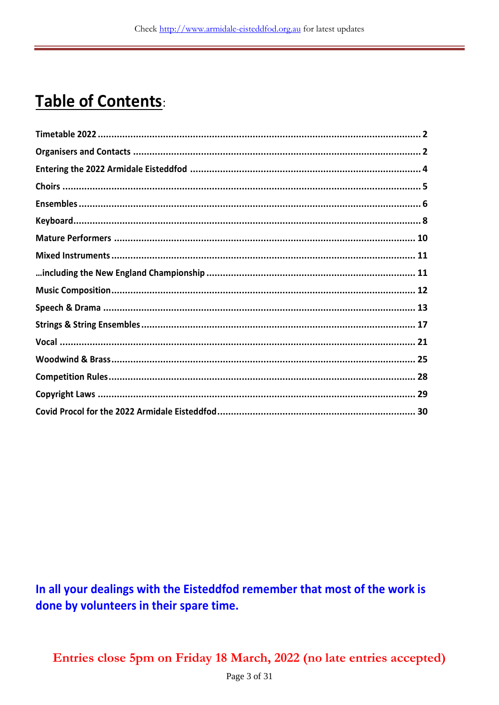# **Table of Contents:**

In all your dealings with the Eisteddfod remember that most of the work is done by volunteers in their spare time.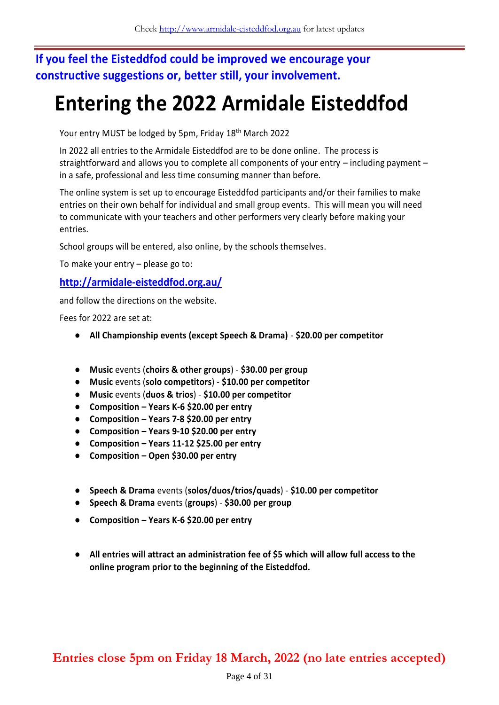### **If you feel the Eisteddfod could be improved we encourage your constructive suggestions or, better still, your involvement.**

# **Entering the 2022 Armidale Eisteddfod**

Your entry MUST be lodged by 5pm, Friday 18th March 2022

In 2022 all entries to the Armidale Eisteddfod are to be done online. The process is straightforward and allows you to complete all components of your entry – including payment – in a safe, professional and less time consuming manner than before.

The online system is set up to encourage Eisteddfod participants and/or their families to make entries on their own behalf for individual and small group events. This will mean you will need to communicate with your teachers and other performers very clearly before making your entries.

School groups will be entered, also online, by the schools themselves.

To make your entry – please go to:

#### **<http://armidale-eisteddfod.org.au/>**

and follow the directions on the website.

Fees for 2022 are set at:

- **All Championship events (except Speech & Drama) \$20.00 per competitor**
- **Music** events (**choirs & other groups**) **\$30.00 per group**
- **Music** events (**solo competitors**) **\$10.00 per competitor**
- **Music** events (**duos & trios**) **\$10.00 per competitor**
- **Composition – Years K-6 \$20.00 per entry**
- **Composition – Years 7-8 \$20.00 per entry**
- **Composition – Years 9-10 \$20.00 per entry**
- **Composition – Years 11-12 \$25.00 per entry**
- **Composition – Open \$30.00 per entry**
- **Speech & Drama** events (**solos/duos/trios/quads**) **\$10.00 per competitor**
- **Speech & Drama** events (**groups**) **\$30.00 per group**
- **Composition – Years K-6 \$20.00 per entry**
- **All entries will attract an administration fee of \$5 which will allow full access to the online program prior to the beginning of the Eisteddfod.**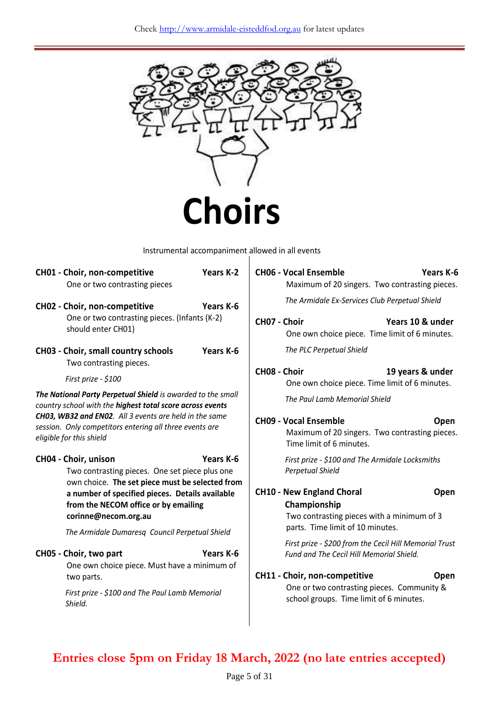

Instrumental accompaniment allowed in all events

| CH01 - Choir, non-competitive<br>One or two contrasting pieces                                                                                                    | Years K-2 | <b>CH06 - Vocal Ensemble</b>                     | Maximum of 20 singers. Two contrasting pieces.                                                     | Years K-6        |
|-------------------------------------------------------------------------------------------------------------------------------------------------------------------|-----------|--------------------------------------------------|----------------------------------------------------------------------------------------------------|------------------|
| CH02 - Choir, non-competitive                                                                                                                                     | Years K-6 |                                                  | The Armidale Ex-Services Club Perpetual Shield                                                     |                  |
| One or two contrasting pieces. (Infants (K-2)<br>should enter CH01)                                                                                               |           | CH07 - Choir                                     | One own choice piece. Time limit of 6 minutes.                                                     | Years 10 & under |
| CH03 - Choir, small country schools<br>Two contrasting pieces.                                                                                                    | Years K-6 |                                                  | The PLC Perpetual Shield                                                                           |                  |
| First prize - \$100                                                                                                                                               |           | CH08 - Choir                                     | One own choice piece. Time limit of 6 minutes.                                                     | 19 years & under |
| The National Party Perpetual Shield is awarded to the small<br>country school with the highest total score across events                                          |           |                                                  | The Paul Lamb Memorial Shield                                                                      |                  |
| CH03, WB32 and EN02. All 3 events are held in the same<br>session. Only competitors entering all three events are<br>eligible for this shield                     |           | <b>CH09 - Vocal Ensemble</b>                     | Maximum of 20 singers. Two contrasting pieces.<br>Time limit of 6 minutes.                         | Open             |
| CH04 - Choir, unison<br>Two contrasting pieces. One set piece plus one<br>own choice. The set piece must be selected from                                         | Years K-6 | Perpetual Shield                                 | First prize - \$100 and The Armidale Locksmiths                                                    |                  |
| a number of specified pieces. Details available<br>from the NECOM office or by emailing<br>corinne@necom.org.au<br>The Armidale Dumaresq Council Perpetual Shield |           | <b>CH10 - New England Choral</b><br>Championship | Two contrasting pieces with a minimum of 3<br>parts. Time limit of 10 minutes.                     | Open             |
| CH05 - Choir, two part<br>One own choice piece. Must have a minimum of                                                                                            | Years K-6 |                                                  | First prize - \$200 from the Cecil Hill Memorial Trust<br>Fund and The Cecil Hill Memorial Shield. |                  |
| two parts.                                                                                                                                                        |           | CH11 - Choir, non-competitive                    |                                                                                                    | Open             |
| First prize - \$100 and The Paul Lamb Memorial<br>Shield.                                                                                                         |           |                                                  | One or two contrasting pieces. Community &<br>school groups. Time limit of 6 minutes.              |                  |
|                                                                                                                                                                   |           |                                                  |                                                                                                    |                  |

| Maximum of 20 singers. Two contrasting pieces.                                                                                 |
|--------------------------------------------------------------------------------------------------------------------------------|
| The Armidale Ex-Services Club Perpetual Shield                                                                                 |
| CH07 - Choir<br>Years 10 & under<br>One own choice piece. Time limit of 6 minutes.                                             |
| The PLC Perpetual Shield                                                                                                       |
| CH08 - Choir<br>19 years & under<br>One own choice piece. Time limit of 6 minutes.                                             |
| The Paul Lamb Memorial Shield                                                                                                  |
| <b>CH09 - Vocal Ensemble</b><br>Open<br>Maximum of 20 singers. Two contrasting pieces.<br>Time limit of 6 minutes.             |
| First prize - \$100 and The Armidale Locksmiths<br>Perpetual Shield                                                            |
| <b>CH10 - New England Choral</b><br>Open<br>Championship<br>Two contrasting pieces with a minimum of 3                         |
| parts. Time limit of 10 minutes.                                                                                               |
| First prize - \$200 from the Cecil Hill Memorial Trust<br><b>Fund and The Cecil Hill Memorial Shield.</b>                      |
| CH11 - Choir, non-competitive<br>Open<br>One or two contrasting pieces. Community &<br>school groups. Time limit of 6 minutes. |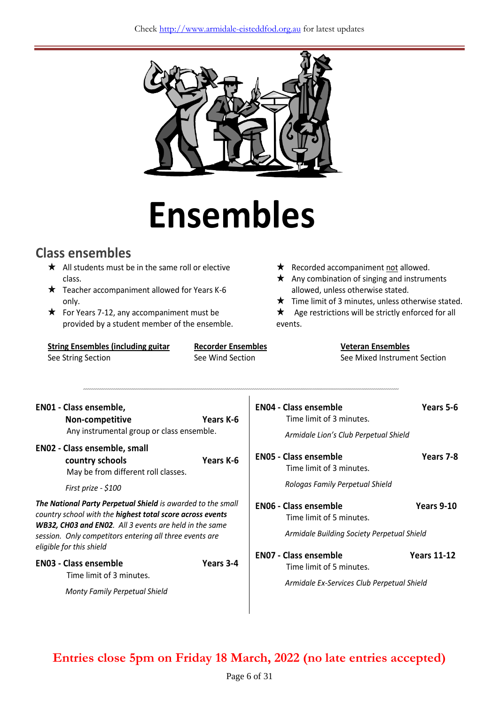

# **Ensembles**

# **Class ensembles**

- $\star$  All students must be in the same roll or elective class.
- $\star$  Teacher accompaniment allowed for Years K-6 only.
- $\star$  For Years 7-12, any accompaniment must be provided by a student member of the ensemble.

**String Ensembles (including guitar** See String Section

**Recorder Ensembles** See Wind Section

- $\star$  Recorded accompaniment not allowed.
- $\star$  Any combination of singing and instruments allowed, unless otherwise stated.
- $\star$  Time limit of 3 minutes, unless otherwise stated.
- $\star$  Age restrictions will be strictly enforced for all events.

| <b>Veteran Ensembles</b>     |
|------------------------------|
| See Mixed Instrument Section |

| <b>EN01 - Class ensemble,</b><br>Non-competitive<br>Any instrumental group or class ensemble.                                                                                                                                                                                    | Years K-6 | <b>EN04 - Class ensemble</b><br>Time limit of 3 minutes.<br>Armidale Lion's Club Perpetual Shield      | Years 5-6          |
|----------------------------------------------------------------------------------------------------------------------------------------------------------------------------------------------------------------------------------------------------------------------------------|-----------|--------------------------------------------------------------------------------------------------------|--------------------|
| <b>EN02 - Class ensemble, small</b><br>country schools<br>May be from different roll classes.                                                                                                                                                                                    | Years K-6 | <b>ENO5 - Class ensemble</b><br>Time limit of 3 minutes.                                               | Years 7-8          |
| First prize - \$100                                                                                                                                                                                                                                                              |           | Rologas Family Perpetual Shield                                                                        |                    |
| <b>The National Party Perpetual Shield</b> is awarded to the small<br>country school with the highest total score across events<br>WB32, CH03 and EN02. All 3 events are held in the same<br>session. Only competitors entering all three events are<br>eligible for this shield |           | <b>ENO6 - Class ensemble</b><br>Time limit of 5 minutes.<br>Armidale Building Society Perpetual Shield | <b>Years 9-10</b>  |
| <b>EN03 - Class ensemble</b><br>Time limit of 3 minutes.<br>Monty Family Perpetual Shield                                                                                                                                                                                        | Years 3-4 | <b>ENO7 - Class ensemble</b><br>Time limit of 5 minutes.<br>Armidale Ex-Services Club Perpetual Shield | <b>Years 11-12</b> |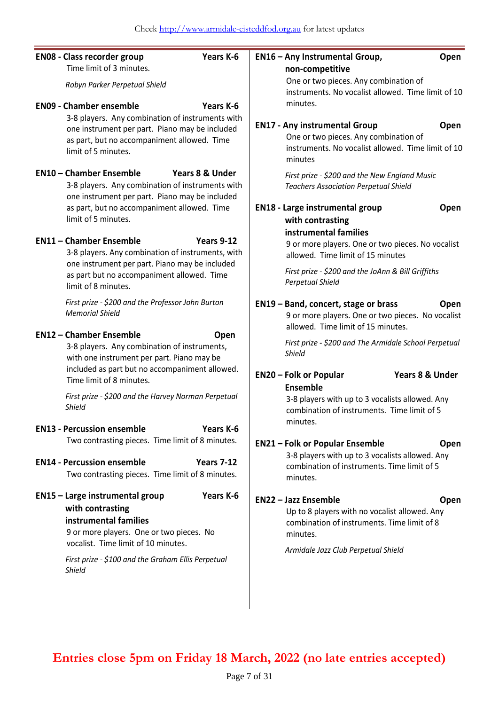| <b>EN08 - Class recorder group</b><br>Time limit of 3 minutes.                                                                                                                                                                  | Years K-6                  | EN16 - Any Instrumental Group,<br>non-competitive                                        | Open                                                                                                 |
|---------------------------------------------------------------------------------------------------------------------------------------------------------------------------------------------------------------------------------|----------------------------|------------------------------------------------------------------------------------------|------------------------------------------------------------------------------------------------------|
| Robyn Parker Perpetual Shield                                                                                                                                                                                                   |                            | One or two pieces. Any combination of                                                    | instruments. No vocalist allowed. Time limit of 10                                                   |
| <b>EN09 - Chamber ensemble</b>                                                                                                                                                                                                  | Years K-6                  | minutes.                                                                                 |                                                                                                      |
| 3-8 players. Any combination of instruments with<br>one instrument per part. Piano may be included<br>as part, but no accompaniment allowed. Time<br>limit of 5 minutes.                                                        |                            | <b>EN17 - Any instrumental Group</b><br>One or two pieces. Any combination of<br>minutes | Open<br>instruments. No vocalist allowed. Time limit of 10                                           |
| <b>EN10 - Chamber Ensemble</b><br>3-8 players. Any combination of instruments with<br>one instrument per part. Piano may be included                                                                                            | <b>Years 8 &amp; Under</b> | <b>Teachers Association Perpetual Shield</b>                                             | First prize - \$200 and the New England Music                                                        |
| as part, but no accompaniment allowed. Time<br>limit of 5 minutes.                                                                                                                                                              |                            | EN18 - Large instrumental group<br>with contrasting                                      | Open                                                                                                 |
| <b>EN11 - Chamber Ensemble</b><br>3-8 players. Any combination of instruments, with                                                                                                                                             | Years 9-12                 | instrumental families<br>allowed. Time limit of 15 minutes                               | 9 or more players. One or two pieces. No vocalist                                                    |
| one instrument per part. Piano may be included<br>as part but no accompaniment allowed. Time<br>limit of 8 minutes.                                                                                                             |                            | <b>Perpetual Shield</b>                                                                  | First prize - \$200 and the JoAnn & Bill Griffiths                                                   |
| First prize - \$200 and the Professor John Burton<br><b>Memorial Shield</b>                                                                                                                                                     |                            | EN19 - Band, concert, stage or brass<br>allowed. Time limit of 15 minutes.               | Open<br>9 or more players. One or two pieces. No vocalist                                            |
| <b>EN12 - Chamber Ensemble</b><br>3-8 players. Any combination of instruments,<br>with one instrument per part. Piano may be                                                                                                    | Open                       | Shield                                                                                   | First prize - \$200 and The Armidale School Perpetual                                                |
| included as part but no accompaniment allowed.<br>Time limit of 8 minutes.                                                                                                                                                      |                            | <b>EN20 - Folk or Popular</b><br><b>Ensemble</b>                                         | Years 8 & Under                                                                                      |
| First prize - \$200 and the Harvey Norman Perpetual<br>Shield                                                                                                                                                                   |                            | minutes.                                                                                 | 3-8 players with up to 3 vocalists allowed. Any<br>combination of instruments. Time limit of 5       |
| <b>EN13 - Percussion ensemble</b>                                                                                                                                                                                               | Years K-6                  |                                                                                          |                                                                                                      |
| Two contrasting pieces. Time limit of 8 minutes.                                                                                                                                                                                |                            | <b>EN21 - Folk or Popular Ensemble</b>                                                   | <b>Open</b>                                                                                          |
| <b>EN14 - Percussion ensemble</b><br>Two contrasting pieces. Time limit of 8 minutes.                                                                                                                                           | <b>Years 7-12</b>          | minutes.                                                                                 | 3-8 players with up to 3 vocalists allowed. Any<br>combination of instruments. Time limit of 5       |
| EN15 - Large instrumental group<br>with contrasting<br>instrumental families<br>9 or more players. One or two pieces. No<br>vocalist. Time limit of 10 minutes.<br>First prize - \$100 and the Graham Ellis Perpetual<br>Shield | Years K-6                  | <b>EN22 - Jazz Ensemble</b><br>minutes.<br>Armidale Jazz Club Perpetual Shield           | Open<br>Up to 8 players with no vocalist allowed. Any<br>combination of instruments. Time limit of 8 |
|                                                                                                                                                                                                                                 |                            |                                                                                          |                                                                                                      |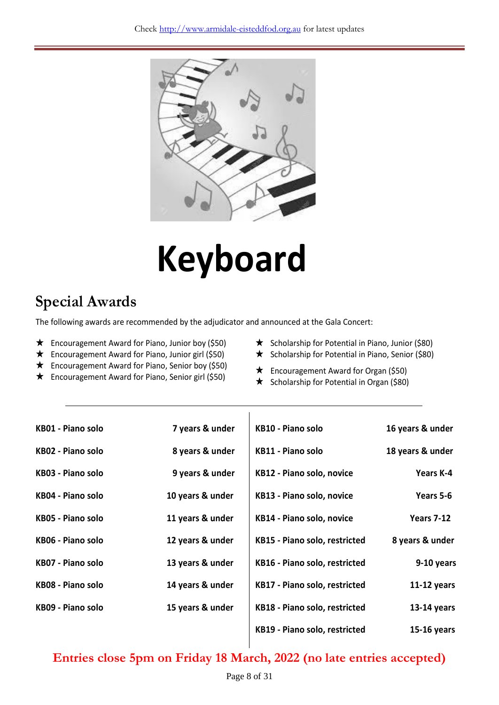

# **Keyboard**

# **Special Awards**

The following awards are recommended by the adjudicator and announced at the Gala Concert:

- $\star$  Encouragement Award for Piano, Junior boy (\$50)
- $\star$  Encouragement Award for Piano, Junior girl (\$50)
- Encouragement Award for Piano, Senior boy (\$50)
- Encouragement Award for Piano, Senior girl (\$50)
- $\star$  Scholarship for Potential in Piano, Junior (\$80)
- $\star$  Scholarship for Potential in Piano, Senior (\$80)
- **★** Encouragement Award for Organ (\$50)
- $\star$  Scholarship for Potential in Organ (\$80)

| 16 years & under  | KB10 - Piano solo             | 7 years & under  | KB01 - Piano solo        |
|-------------------|-------------------------------|------------------|--------------------------|
| 18 years & under  | <b>KB11 - Piano solo</b>      | 8 years & under  | KB02 - Piano solo        |
| Years K-4         | KB12 - Piano solo, novice     | 9 years & under  | KB03 - Piano solo        |
| Years 5-6         | KB13 - Piano solo, novice     | 10 years & under | KB04 - Piano solo        |
| <b>Years 7-12</b> | KB14 - Piano solo, novice     | 11 years & under | KB05 - Piano solo        |
| 8 years & under   | KB15 - Piano solo, restricted | 12 years & under | KB06 - Piano solo        |
| 9-10 years        | KB16 - Piano solo, restricted | 13 years & under | <b>KB07 - Piano solo</b> |
| $11-12$ years     | KB17 - Piano solo, restricted | 14 years & under | <b>KB08 - Piano solo</b> |
| $13-14$ years     | KB18 - Piano solo, restricted | 15 years & under | KB09 - Piano solo        |
| $15-16$ years     | KB19 - Piano solo, restricted |                  |                          |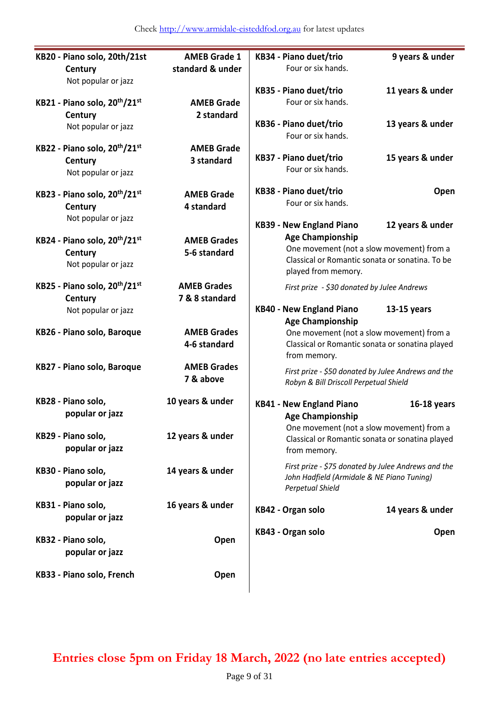| KB20 - Piano solo, 20th/21st                                                            | <b>AMEB Grade 1</b>                  | KB34 - Piano duet/trio                                                                                                                                                            | 9 years & under  |
|-----------------------------------------------------------------------------------------|--------------------------------------|-----------------------------------------------------------------------------------------------------------------------------------------------------------------------------------|------------------|
| Century<br>Not popular or jazz                                                          | standard & under                     | Four or six hands.                                                                                                                                                                |                  |
| KB21 - Piano solo, 20 <sup>th</sup> /21 <sup>st</sup>                                   | <b>AMEB Grade</b>                    | KB35 - Piano duet/trio<br>Four or six hands.                                                                                                                                      | 11 years & under |
| Century<br>Not popular or jazz                                                          | 2 standard                           | KB36 - Piano duet/trio<br>Four or six hands.                                                                                                                                      | 13 years & under |
| KB22 - Piano solo, 20th/21st<br>Century<br>Not popular or jazz                          | <b>AMEB Grade</b><br>3 standard      | KB37 - Piano duet/trio<br>Four or six hands.                                                                                                                                      | 15 years & under |
| KB23 - Piano solo, 20 <sup>th</sup> /21 <sup>st</sup><br>Century<br>Not popular or jazz | <b>AMEB Grade</b><br>4 standard      | KB38 - Piano duet/trio<br>Four or six hands.                                                                                                                                      | Open             |
| KB24 - Piano solo, 20 <sup>th</sup> /21 <sup>st</sup><br>Century<br>Not popular or jazz | <b>AMEB Grades</b><br>5-6 standard   | <b>KB39 - New England Piano</b><br><b>Age Championship</b><br>One movement (not a slow movement) from a<br>Classical or Romantic sonata or sonatina. To be<br>played from memory. | 12 years & under |
| KB25 - Piano solo, 20 <sup>th</sup> /21 <sup>st</sup><br>Century<br>Not popular or jazz | <b>AMEB Grades</b><br>7 & 8 standard | First prize - \$30 donated by Julee Andrews<br><b>KB40 - New England Piano</b><br><b>Age Championship</b>                                                                         | $13-15$ years    |
| KB26 - Piano solo, Baroque                                                              | <b>AMEB Grades</b><br>4-6 standard   | One movement (not a slow movement) from a<br>Classical or Romantic sonata or sonatina played<br>from memory.                                                                      |                  |
| KB27 - Piano solo, Baroque                                                              | <b>AMEB Grades</b><br>7 & above      | First prize - \$50 donated by Julee Andrews and the<br>Robyn & Bill Driscoll Perpetual Shield                                                                                     |                  |
| KB28 - Piano solo,<br>popular or jazz                                                   | 10 years & under                     | <b>KB41 - New England Piano</b><br><b>Age Championship</b>                                                                                                                        | 16-18 years      |
| KB29 - Piano solo,<br>popular or jazz                                                   | 12 years & under                     | One movement (not a slow movement) from a<br>Classical or Romantic sonata or sonatina played<br>from memory.                                                                      |                  |
| KB30 - Piano solo,<br>popular or jazz                                                   | 14 years & under                     | First prize - \$75 donated by Julee Andrews and the<br>John Hadfield (Armidale & NE Piano Tuning)<br>Perpetual Shield                                                             |                  |
| KB31 - Piano solo,<br>popular or jazz                                                   | 16 years & under                     | KB42 - Organ solo                                                                                                                                                                 | 14 years & under |
| KB32 - Piano solo,<br>popular or jazz                                                   | Open                                 | KB43 - Organ solo                                                                                                                                                                 | Open             |
| KB33 - Piano solo, French                                                               | Open                                 |                                                                                                                                                                                   |                  |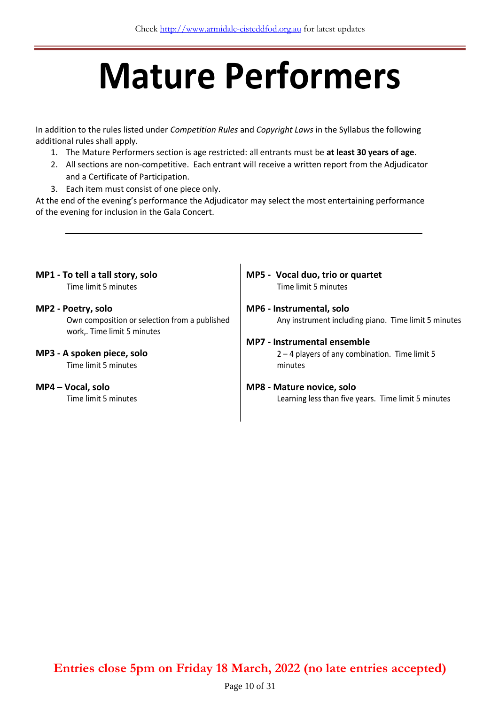# **Mature Performers**

In addition to the rules listed under *Competition Rules* and *Copyright Laws* in the Syllabus the following additional rules shall apply.

- 1. The Mature Performers section is age restricted: all entrants must be **at least 30 years of age**.
- 2. All sections are non-competitive. Each entrant will receive a written report from the Adjudicator and a Certificate of Participation.
- 3. Each item must consist of one piece only.

At the end of the evening's performance the Adjudicator may select the most entertaining performance of the evening for inclusion in the Gala Concert.

## **MP1 - To tell a tall story, solo** Time limit 5 minutes **MP2 - Poetry, solo**

Own composition or selection from a published work,. Time limit 5 minutes

**MP3 - A spoken piece, solo**

Time limit 5 minutes

**MP4 – Vocal, solo**

Time limit 5 minutes

#### **MP5 - Vocal duo, trio or quartet** Time limit 5 minutes

#### **MP6 - Instrumental, solo** Any instrument including piano. Time limit 5 minutes

#### **MP7 - Instrumental ensemble**

2 – 4 players of any combination. Time limit 5 minutes

#### **MP8 - Mature novice, solo**

Learning less than five years. Time limit 5 minutes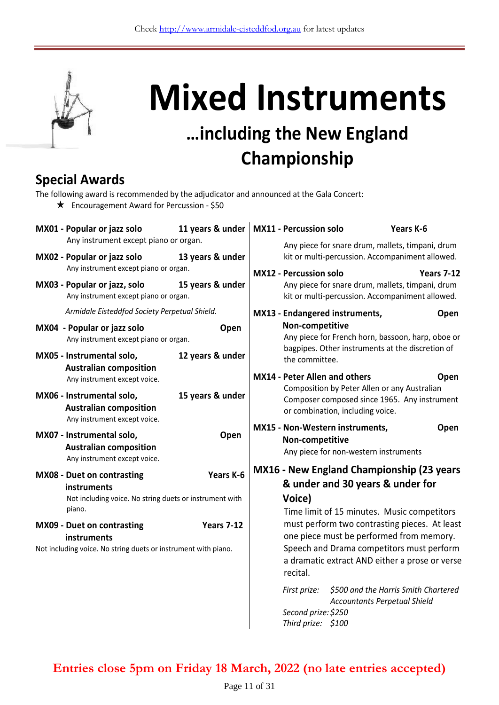

# **Mixed Instruments**

# **…including the New England Championship**

## **Special Awards**

| The following award is recommended by the adjudicator and announced at the Gala Concert: |  |  |
|------------------------------------------------------------------------------------------|--|--|
|------------------------------------------------------------------------------------------|--|--|

Encouragement Award for Percussion - \$50

| MX01 - Popular or jazz solo                                                                                                | 11 years & under  | <b>MX11 - Percussion solo</b>                      |                                                                                                                                                                                          | Years K-6                            |
|----------------------------------------------------------------------------------------------------------------------------|-------------------|----------------------------------------------------|------------------------------------------------------------------------------------------------------------------------------------------------------------------------------------------|--------------------------------------|
| Any instrument except piano or organ.<br>MX02 - Popular or jazz solo                                                       | 13 years & under  |                                                    | Any piece for snare drum, mallets, timpani, drum<br>kit or multi-percussion. Accompaniment allowed.                                                                                      |                                      |
| Any instrument except piano or organ.<br>MX03 - Popular or jazz, solo<br>Any instrument except piano or organ.             | 15 years & under  | <b>MX12 - Percussion solo</b>                      | Any piece for snare drum, mallets, timpani, drum<br>kit or multi-percussion. Accompaniment allowed.                                                                                      | <b>Years 7-12</b>                    |
| Armidale Eisteddfod Society Perpetual Shield.                                                                              |                   | MX13 - Endangered instruments,                     |                                                                                                                                                                                          | Open                                 |
| MX04 - Popular or jazz solo<br>Any instrument except piano or organ.                                                       | Open              | Non-competitive                                    | Any piece for French horn, bassoon, harp, oboe or                                                                                                                                        |                                      |
| MX05 - Instrumental solo,<br><b>Australian composition</b>                                                                 | 12 years & under  | the committee.                                     | bagpipes. Other instruments at the discretion of                                                                                                                                         |                                      |
| Any instrument except voice.                                                                                               |                   | <b>MX14 - Peter Allen and others</b>               | Composition by Peter Allen or any Australian                                                                                                                                             | Open                                 |
| MX06 - Instrumental solo,<br><b>Australian composition</b>                                                                 | 15 years & under  |                                                    | Composer composed since 1965. Any instrument<br>or combination, including voice.                                                                                                         |                                      |
| Any instrument except voice.<br>MX07 - Instrumental solo,<br><b>Australian composition</b><br>Any instrument except voice. | Open              | MX15 - Non-Western instruments,<br>Non-competitive | Any piece for non-western instruments                                                                                                                                                    | Open                                 |
| <b>MX08 - Duet on contrasting</b><br>instruments                                                                           | Years K-6         | <b>MX16 - New England Championship (23 years</b>   | & under and 30 years & under for                                                                                                                                                         |                                      |
| Not including voice. No string duets or instrument with<br>piano.                                                          |                   | Voice)                                             | Time limit of 15 minutes. Music competitors                                                                                                                                              |                                      |
| <b>MX09 - Duet on contrasting</b><br>instruments<br>Not including voice. No string duets or instrument with piano.         | <b>Years 7-12</b> |                                                    | must perform two contrasting pieces. At least<br>one piece must be performed from memory.<br>Speech and Drama competitors must perform<br>a dramatic extract AND either a prose or verse |                                      |
|                                                                                                                            |                   | recital.<br>First prize:                           | <b>Accountants Perpetual Shield</b>                                                                                                                                                      | \$500 and the Harris Smith Chartered |
|                                                                                                                            |                   | Second prize: \$250<br>Third prize: \$100          |                                                                                                                                                                                          |                                      |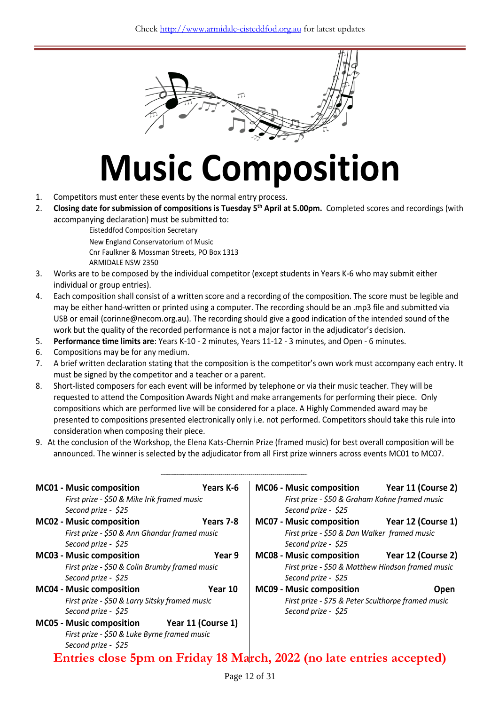

# **Music Composition**

- 1. Competitors must enter these events by the normal entry process.
- 2. **Closing date for submission of compositions is Tuesday 5 th April at 5.00pm.** Completed scores and recordings (with accompanying declaration) must be submitted to:

Eisteddfod Composition Secretary

New England Conservatorium of Music Cnr Faulkner & Mossman Streets, PO Box 1313 ARMIDALE NSW 2350

- 3. Works are to be composed by the individual competitor (except students in Years K-6 who may submit either individual or group entries).
- 4. Each composition shall consist of a written score and a recording of the composition. The score must be legible and may be either hand-written or printed using a computer. The recording should be an .mp3 file and submitted via USB or email (corinne@necom.org.au). The recording should give a good indication of the intended sound of the work but the quality of the recorded performance is not a major factor in the adjudicator's decision.
- 5. **Performance time limits are**: Years K-10 2 minutes, Years 11-12 3 minutes, and Open 6 minutes.
- 6. Compositions may be for any medium.
- 7. A brief written declaration stating that the composition is the competitor's own work must accompany each entry. It must be signed by the competitor and a teacher or a parent.
- 8. Short-listed composers for each event will be informed by telephone or via their music teacher. They will be requested to attend the Composition Awards Night and make arrangements for performing their piece. Only compositions which are performed live will be considered for a place. A Highly Commended award may be presented to compositions presented electronically only i.e. not performed. Competitors should take this rule into consideration when composing their piece.
- 9. At the conclusion of the Workshop, the Elena Kats-Chernin Prize (framed music) for best overall composition will be announced. The winner is selected by the adjudicator from all First prize winners across events MC01 to MC07.

| <b>MC01 - Music composition</b>                                       | Years K-6          | <b>MC06 - Music composition</b>                    | Year 11 (Course 2) |
|-----------------------------------------------------------------------|--------------------|----------------------------------------------------|--------------------|
| First prize - \$50 & Mike Irik framed music                           |                    | First prize - \$50 & Graham Kohne framed music     |                    |
| Second prize - \$25                                                   |                    | Second prize - \$25                                |                    |
| MC02 - Music composition                                              | Years 7-8          | <b>MC07 - Music composition</b>                    | Year 12 (Course 1) |
| First prize - \$50 & Ann Ghandar framed music                         |                    | First prize - \$50 & Dan Walker framed music       |                    |
| Second prize - \$25                                                   |                    | Second prize - \$25                                |                    |
| MC03 - Music composition                                              | Year 9             | <b>MC08 - Music composition</b>                    | Year 12 (Course 2) |
| First prize - \$50 & Colin Brumby framed music                        |                    | First prize - \$50 & Matthew Hindson framed music  |                    |
| Second prize - \$25                                                   |                    | Second prize - \$25                                |                    |
| <b>MC04 - Music composition</b>                                       | Year 10            | <b>MC09 - Music composition</b>                    | <b>Open</b>        |
| First prize - \$50 & Larry Sitsky framed music                        |                    | First prize - \$75 & Peter Sculthorpe framed music |                    |
| Second prize - \$25                                                   |                    | Second prize - \$25                                |                    |
| <b>MC05 - Music composition</b>                                       | Year 11 (Course 1) |                                                    |                    |
| First prize - \$50 & Luke Byrne framed music                          |                    |                                                    |                    |
| Second prize - \$25                                                   |                    |                                                    |                    |
| Entries close 5pm on Friday 18 March, 2022 (no late entries accepted) |                    |                                                    |                    |

Page 12 of 31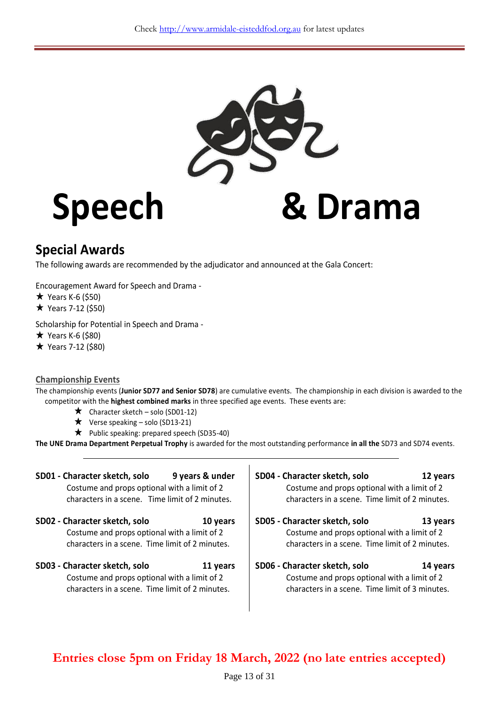

# **Speech & Drama**

# **Special Awards**

The following awards are recommended by the adjudicator and announced at the Gala Concert:

Encouragement Award for Speech and Drama -

 $\star$  Years K-6 (\$50)

 $*$  Years 7-12 (\$50)

Scholarship for Potential in Speech and Drama -

 $\star$  Years K-6 (\$80)

 $*$  Years 7-12 (\$80)

#### **Championship Events**

The championship events (**Junior SD77 and Senior SD78**) are cumulative events. The championship in each division is awarded to the competitor with the **highest combined marks** in three specified age events. These events are:

- $\star$  Character sketch solo (SD01-12)
- $\star$  Verse speaking solo (SD13-21)
- $\star$  Public speaking: prepared speech (SD35-40)

**The UNE Drama Department Perpetual Trophy** is awarded for the most outstanding performance **in all the** SD73 and SD74 events.

| SD01 - Character sketch, solo                                                                                                    |          | SD04 - Character sketch, solo                                                                                                    |          |
|----------------------------------------------------------------------------------------------------------------------------------|----------|----------------------------------------------------------------------------------------------------------------------------------|----------|
| 9 years & under                                                                                                                  |          | 12 years                                                                                                                         |          |
| Costume and props optional with a limit of 2                                                                                     |          | Costume and props optional with a limit of 2                                                                                     |          |
| characters in a scene. Time limit of 2 minutes.                                                                                  |          | characters in a scene. Time limit of 2 minutes.                                                                                  |          |
| SD02 - Character sketch, solo                                                                                                    |          | SD05 - Character sketch, solo                                                                                                    |          |
| 10 years                                                                                                                         |          | 13 years                                                                                                                         |          |
| Costume and props optional with a limit of 2                                                                                     |          | Costume and props optional with a limit of 2                                                                                     |          |
| characters in a scene. Time limit of 2 minutes.                                                                                  |          | characters in a scene. Time limit of 2 minutes.                                                                                  |          |
| SD03 - Character sketch, solo<br>Costume and props optional with a limit of 2<br>characters in a scene. Time limit of 2 minutes. | 11 years | SD06 - Character sketch, solo<br>Costume and props optional with a limit of 2<br>characters in a scene. Time limit of 3 minutes. | 14 years |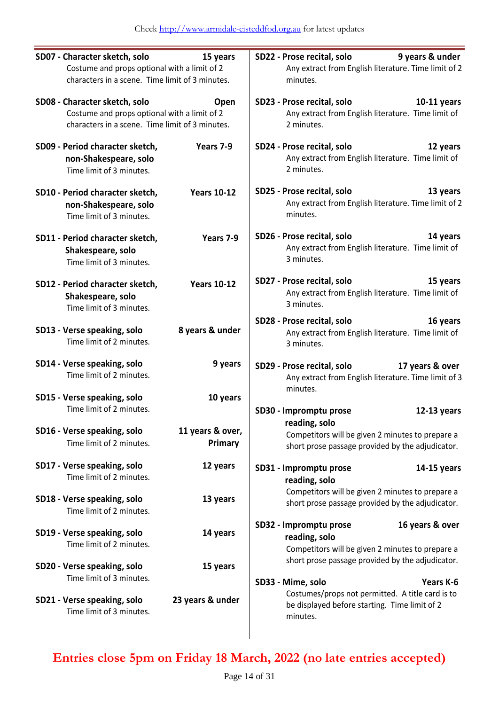| SD07 - Character sketch, solo<br>Costume and props optional with a limit of 2<br>characters in a scene. Time limit of 3 minutes.         | 15 years                    | SD22 - Prose recital, solo<br>9 years & under<br>Any extract from English literature. Time limit of 2<br>minutes.                               |
|------------------------------------------------------------------------------------------------------------------------------------------|-----------------------------|-------------------------------------------------------------------------------------------------------------------------------------------------|
| SD08 - Character sketch, solo<br>Open<br>Costume and props optional with a limit of 2<br>characters in a scene. Time limit of 3 minutes. |                             | SD23 - Prose recital, solo<br>10-11 years<br>Any extract from English literature. Time limit of<br>2 minutes.                                   |
| SD09 - Period character sketch,<br>non-Shakespeare, solo<br>Time limit of 3 minutes.                                                     | Years 7-9                   | SD24 - Prose recital, solo<br>12 years<br>Any extract from English literature. Time limit of<br>2 minutes.                                      |
| SD10 - Period character sketch,<br>non-Shakespeare, solo<br>Time limit of 3 minutes.                                                     | <b>Years 10-12</b>          | SD25 - Prose recital, solo<br>13 years<br>Any extract from English literature. Time limit of 2<br>minutes.                                      |
| SD11 - Period character sketch,<br>Shakespeare, solo<br>Time limit of 3 minutes.                                                         | Years 7-9                   | SD26 - Prose recital, solo<br>14 years<br>Any extract from English literature. Time limit of<br>3 minutes.                                      |
| SD12 - Period character sketch,<br>Shakespeare, solo<br>Time limit of 3 minutes.                                                         | <b>Years 10-12</b>          | SD27 - Prose recital, solo<br>15 years<br>Any extract from English literature. Time limit of<br>3 minutes.                                      |
| SD13 - Verse speaking, solo<br>Time limit of 2 minutes.                                                                                  | 8 years & under             | SD28 - Prose recital, solo<br>16 years<br>Any extract from English literature. Time limit of<br>3 minutes.                                      |
| SD14 - Verse speaking, solo<br>Time limit of 2 minutes.                                                                                  | 9 years                     | SD29 - Prose recital, solo<br>17 years & over<br>Any extract from English literature. Time limit of 3<br>minutes.                               |
| SD15 - Verse speaking, solo<br>Time limit of 2 minutes.                                                                                  | 10 years                    | SD30 - Impromptu prose<br>12-13 years                                                                                                           |
| SD16 - Verse speaking, solo<br>Time limit of 2 minutes.                                                                                  | 11 years & over,<br>Primary | reading, solo<br>Competitors will be given 2 minutes to prepare a<br>short prose passage provided by the adjudicator.                           |
| SD17 - Verse speaking, solo<br>Time limit of 2 minutes.                                                                                  | 12 years                    | SD31 - Impromptu prose<br>$14-15$ years<br>reading, solo                                                                                        |
| SD18 - Verse speaking, solo<br>Time limit of 2 minutes.                                                                                  | 13 years                    | Competitors will be given 2 minutes to prepare a<br>short prose passage provided by the adjudicator.                                            |
| SD19 - Verse speaking, solo<br>Time limit of 2 minutes.                                                                                  | 14 years                    | SD32 - Impromptu prose<br>16 years & over<br>reading, solo<br>Competitors will be given 2 minutes to prepare a                                  |
| SD20 - Verse speaking, solo<br>Time limit of 3 minutes.                                                                                  | 15 years                    | short prose passage provided by the adjudicator.                                                                                                |
| SD21 - Verse speaking, solo<br>Time limit of 3 minutes.                                                                                  | 23 years & under            | SD33 - Mime, solo<br>Years K-6<br>Costumes/props not permitted. A title card is to<br>be displayed before starting. Time limit of 2<br>minutes. |
|                                                                                                                                          |                             |                                                                                                                                                 |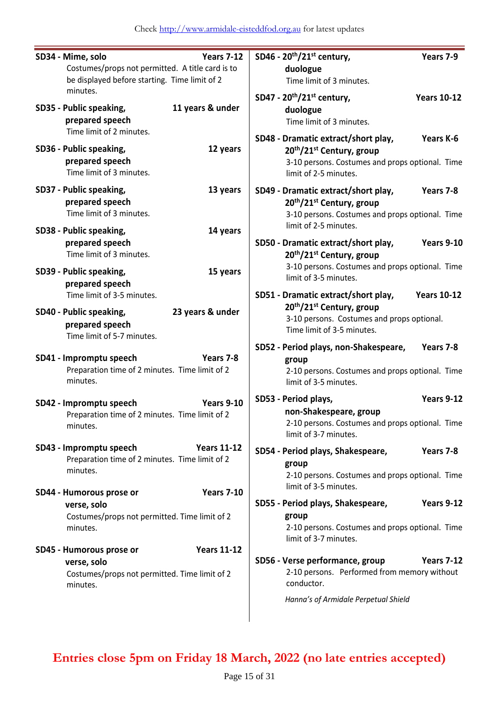| SD34 - Mime, solo                                                                                                          | SD46 - 20 <sup>th</sup> /21 <sup>st</sup> century,                                                                                                                                 |
|----------------------------------------------------------------------------------------------------------------------------|------------------------------------------------------------------------------------------------------------------------------------------------------------------------------------|
| <b>Years 7-12</b>                                                                                                          | Years 7-9                                                                                                                                                                          |
| Costumes/props not permitted. A title card is to                                                                           | duologue                                                                                                                                                                           |
| be displayed before starting. Time limit of 2                                                                              | Time limit of 3 minutes.                                                                                                                                                           |
| minutes.                                                                                                                   | SD47 - 20 <sup>th</sup> /21 <sup>st</sup> century,                                                                                                                                 |
| 11 years & under                                                                                                           | <b>Years 10-12</b>                                                                                                                                                                 |
| SD35 - Public speaking,                                                                                                    | duologue                                                                                                                                                                           |
| prepared speech                                                                                                            | Time limit of 3 minutes.                                                                                                                                                           |
| Time limit of 2 minutes.                                                                                                   | SD48 - Dramatic extract/short play,                                                                                                                                                |
| SD36 - Public speaking,                                                                                                    | Years K-6                                                                                                                                                                          |
| 12 years                                                                                                                   | 20 <sup>th</sup> /21 <sup>st</sup> Century, group                                                                                                                                  |
| prepared speech                                                                                                            | 3-10 persons. Costumes and props optional. Time                                                                                                                                    |
| Time limit of 3 minutes.                                                                                                   | limit of 2-5 minutes.                                                                                                                                                              |
| SD37 - Public speaking,                                                                                                    | SD49 - Dramatic extract/short play,                                                                                                                                                |
| 13 years                                                                                                                   | Years 7-8                                                                                                                                                                          |
| prepared speech                                                                                                            | 20 <sup>th</sup> /21 <sup>st</sup> Century, group                                                                                                                                  |
| Time limit of 3 minutes.                                                                                                   | 3-10 persons. Costumes and props optional. Time                                                                                                                                    |
| SD38 - Public speaking,                                                                                                    | limit of 2-5 minutes.                                                                                                                                                              |
| 14 years                                                                                                                   | SD50 - Dramatic extract/short play,                                                                                                                                                |
| prepared speech                                                                                                            | <b>Years 9-10</b>                                                                                                                                                                  |
| Time limit of 3 minutes.                                                                                                   | 20 <sup>th</sup> /21 <sup>st</sup> Century, group                                                                                                                                  |
| SD39 - Public speaking,                                                                                                    | 3-10 persons. Costumes and props optional. Time                                                                                                                                    |
| 15 years                                                                                                                   | limit of 3-5 minutes.                                                                                                                                                              |
| prepared speech                                                                                                            | SD51 - Dramatic extract/short play,                                                                                                                                                |
| Time limit of 3-5 minutes.                                                                                                 | <b>Years 10-12</b>                                                                                                                                                                 |
| SD40 - Public speaking,<br>23 years & under<br>prepared speech<br>Time limit of 5-7 minutes.                               | 20 <sup>th</sup> /21 <sup>st</sup> Century, group<br>3-10 persons. Costumes and props optional.<br>Time limit of 3-5 minutes.                                                      |
| SD41 - Impromptu speech<br>Years 7-8<br>Preparation time of 2 minutes. Time limit of 2<br>minutes.                         | Years 7-8<br>SD52 - Period plays, non-Shakespeare,<br>group<br>2-10 persons. Costumes and props optional. Time<br>limit of 3-5 minutes.                                            |
| SD42 - Impromptu speech<br><b>Years 9-10</b><br>Preparation time of 2 minutes. Time limit of 2<br>minutes.                 | Years 9-12<br>SD53 - Period plays,<br>non-Shakespeare, group<br>2-10 persons. Costumes and props optional. Time<br>limit of 3-7 minutes.                                           |
| SD43 - Impromptu speech                                                                                                    | SD54 - Period plays, Shakespeare,                                                                                                                                                  |
| <b>Years 11-12</b>                                                                                                         | Years 7-8                                                                                                                                                                          |
| Preparation time of 2 minutes. Time limit of 2                                                                             | group                                                                                                                                                                              |
| minutes.                                                                                                                   | 2-10 persons. Costumes and props optional. Time                                                                                                                                    |
| <b>Years 7-10</b>                                                                                                          | limit of 3-5 minutes.                                                                                                                                                              |
| SD44 - Humorous prose or                                                                                                   | SD55 - Period plays, Shakespeare,                                                                                                                                                  |
| verse, solo                                                                                                                | <b>Years 9-12</b>                                                                                                                                                                  |
| Costumes/props not permitted. Time limit of 2                                                                              | group                                                                                                                                                                              |
| minutes.                                                                                                                   | 2-10 persons. Costumes and props optional. Time                                                                                                                                    |
| <b>Years 11-12</b><br>SD45 - Humorous prose or<br>verse, solo<br>Costumes/props not permitted. Time limit of 2<br>minutes. | limit of 3-7 minutes.<br>SD56 - Verse performance, group<br><b>Years 7-12</b><br>2-10 persons. Performed from memory without<br>conductor.<br>Hanna's of Armidale Perpetual Shield |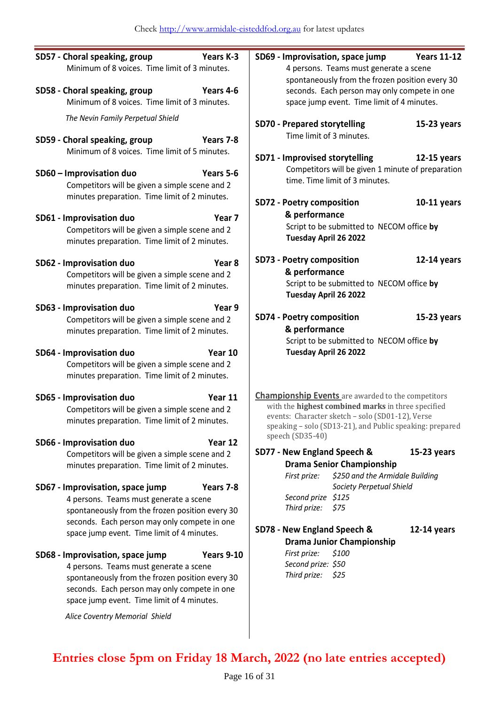|                                               | SD57 - Choral speaking, group                                                                   | Years K-3                              | SD69 - Improvisation, space jump                                |                                                                                                              | <b>Years 11-12</b> |
|-----------------------------------------------|-------------------------------------------------------------------------------------------------|----------------------------------------|-----------------------------------------------------------------|--------------------------------------------------------------------------------------------------------------|--------------------|
| Minimum of 8 voices. Time limit of 3 minutes. |                                                                                                 | 4 persons. Teams must generate a scene |                                                                 |                                                                                                              |                    |
|                                               |                                                                                                 |                                        | spontaneously from the frozen position every 30                 |                                                                                                              |                    |
| SD58 - Choral speaking, group<br>Years 4-6    |                                                                                                 |                                        | seconds. Each person may only compete in one                    |                                                                                                              |                    |
|                                               | Minimum of 8 voices. Time limit of 3 minutes.                                                   |                                        |                                                                 | space jump event. Time limit of 4 minutes.                                                                   |                    |
|                                               | The Nevin Family Perpetual Shield                                                               |                                        |                                                                 |                                                                                                              |                    |
|                                               |                                                                                                 |                                        | <b>SD70 - Prepared storytelling</b><br>Time limit of 3 minutes. |                                                                                                              | $15-23$ years      |
|                                               | SD59 - Choral speaking, group                                                                   | Years 7-8                              |                                                                 |                                                                                                              |                    |
|                                               | Minimum of 8 voices. Time limit of 5 minutes.                                                   |                                        | SD71 - Improvised storytelling                                  |                                                                                                              | $12-15$ years      |
|                                               | SD60 - Improvisation duo                                                                        | Years 5-6                              |                                                                 | Competitors will be given 1 minute of preparation                                                            |                    |
|                                               | Competitors will be given a simple scene and 2                                                  |                                        |                                                                 | time. Time limit of 3 minutes.                                                                               |                    |
|                                               | minutes preparation. Time limit of 2 minutes.                                                   |                                        |                                                                 |                                                                                                              |                    |
|                                               |                                                                                                 |                                        | <b>SD72 - Poetry composition</b>                                |                                                                                                              | $10-11$ years      |
|                                               | SD61 - Improvisation duo                                                                        | Year <sub>7</sub>                      | & performance                                                   |                                                                                                              |                    |
|                                               | Competitors will be given a simple scene and 2                                                  |                                        |                                                                 | Script to be submitted to NECOM office by                                                                    |                    |
|                                               | minutes preparation. Time limit of 2 minutes.                                                   |                                        | Tuesday April 26 2022                                           |                                                                                                              |                    |
|                                               |                                                                                                 | Year <sub>8</sub>                      | SD73 - Poetry composition                                       |                                                                                                              | $12-14$ years      |
|                                               | SD62 - Improvisation duo<br>Competitors will be given a simple scene and 2                      |                                        | & performance                                                   |                                                                                                              |                    |
|                                               | minutes preparation. Time limit of 2 minutes.                                                   |                                        |                                                                 | Script to be submitted to NECOM office by                                                                    |                    |
|                                               |                                                                                                 |                                        | Tuesday April 26 2022                                           |                                                                                                              |                    |
|                                               | SD63 - Improvisation duo                                                                        | Year 9                                 |                                                                 |                                                                                                              |                    |
|                                               | Competitors will be given a simple scene and 2                                                  |                                        | <b>SD74 - Poetry composition</b>                                |                                                                                                              | $15-23$ years      |
|                                               | minutes preparation. Time limit of 2 minutes.                                                   |                                        | & performance                                                   |                                                                                                              |                    |
|                                               |                                                                                                 |                                        |                                                                 | Script to be submitted to NECOM office by                                                                    |                    |
|                                               | SD64 - Improvisation duo                                                                        | Year 10                                | Tuesday April 26 2022                                           |                                                                                                              |                    |
|                                               | Competitors will be given a simple scene and 2<br>minutes preparation. Time limit of 2 minutes. |                                        |                                                                 |                                                                                                              |                    |
|                                               |                                                                                                 |                                        |                                                                 |                                                                                                              |                    |
|                                               | SD65 - Improvisation duo                                                                        | Year 11                                |                                                                 | <b>Championship Events</b> are awarded to the competitors                                                    |                    |
|                                               | Competitors will be given a simple scene and 2                                                  |                                        |                                                                 | with the highest combined marks in three specified                                                           |                    |
|                                               | minutes preparation. Time limit of 2 minutes.                                                   |                                        |                                                                 | events: Character sketch - solo (SD01-12), Verse<br>speaking - solo (SD13-21), and Public speaking: prepared |                    |
|                                               |                                                                                                 |                                        | speech (SD35-40)                                                |                                                                                                              |                    |
|                                               | SD66 - Improvisation duo<br>Competitors will be given a simple scene and 2                      | Year 12                                | SD77 - New England Speech &                                     |                                                                                                              | 15-23 years        |
|                                               | minutes preparation. Time limit of 2 minutes.                                                   |                                        |                                                                 | <b>Drama Senior Championship</b>                                                                             |                    |
|                                               |                                                                                                 |                                        | First prize:                                                    | \$250 and the Armidale Building                                                                              |                    |
|                                               | SD67 - Improvisation, space jump                                                                | Years 7-8                              |                                                                 | Society Perpetual Shield                                                                                     |                    |
|                                               | 4 persons. Teams must generate a scene                                                          |                                        | Second prize \$125                                              |                                                                                                              |                    |
|                                               | spontaneously from the frozen position every 30                                                 |                                        | Third prize:                                                    | \$75                                                                                                         |                    |
|                                               | seconds. Each person may only compete in one                                                    |                                        |                                                                 |                                                                                                              |                    |
|                                               | space jump event. Time limit of 4 minutes.                                                      |                                        | SD78 - New England Speech &                                     |                                                                                                              | $12-14$ years      |
|                                               |                                                                                                 |                                        | First prize:                                                    | <b>Drama Junior Championship</b><br>\$100                                                                    |                    |
|                                               | SD68 - Improvisation, space jump<br>4 persons. Teams must generate a scene                      | <b>Years 9-10</b>                      | Second prize: \$50                                              |                                                                                                              |                    |
|                                               | spontaneously from the frozen position every 30                                                 |                                        | Third prize:                                                    | \$25                                                                                                         |                    |
|                                               | seconds. Each person may only compete in one                                                    |                                        |                                                                 |                                                                                                              |                    |
|                                               | space jump event. Time limit of 4 minutes.                                                      |                                        |                                                                 |                                                                                                              |                    |

*Alice Coventry Memorial Shield*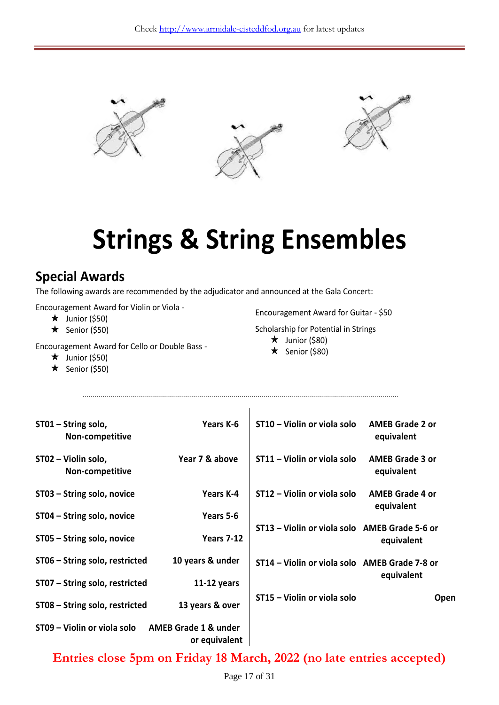

# **Strings & String Ensembles**

### **Special Awards**

The following awards are recommended by the adjudicator and announced at the Gala Concert:

Encouragement Award for Violin or Viola -

- $\star$  Junior (\$50)
- $\star$  Senior (\$50)

Encouragement Award for Cello or Double Bass -

- $\star$  Junior (\$50)
- $\star$  Senior (\$50)

Encouragement Award for Guitar - \$50

Scholarship for Potential in Strings

- $\star$  Junior (\$80)
- $\star$  Senior (\$80)

| ST01 - String solo,<br>Non-competitive | Years K-6                                        | ST10 - Violin or viola solo                   | <b>AMEB Grade 2 or</b><br>equivalent |
|----------------------------------------|--------------------------------------------------|-----------------------------------------------|--------------------------------------|
| ST02 - Violin solo,<br>Non-competitive | Year 7 & above                                   | ST11 – Violin or viola solo                   | <b>AMEB Grade 3 or</b><br>equivalent |
| ST03 - String solo, novice             | Years K-4                                        | ST12 – Violin or viola solo                   | <b>AMEB Grade 4 or</b><br>equivalent |
| ST04 - String solo, novice             | Years 5-6                                        |                                               |                                      |
| ST05 - String solo, novice             | <b>Years 7-12</b>                                | ST13 - Violin or viola solo AMEB Grade 5-6 or | equivalent                           |
| ST06 - String solo, restricted         | 10 years & under                                 | ST14 - Violin or viola solo AMEB Grade 7-8 or |                                      |
| ST07 - String solo, restricted         | $11-12$ years                                    |                                               | equivalent                           |
| ST08 - String solo, restricted         | 13 years & over                                  | ST15 – Violin or viola solo                   | Open                                 |
| ST09 - Violin or viola solo            | <b>AMEB Grade 1 &amp; under</b><br>or equivalent |                                               |                                      |

 $\overline{1}$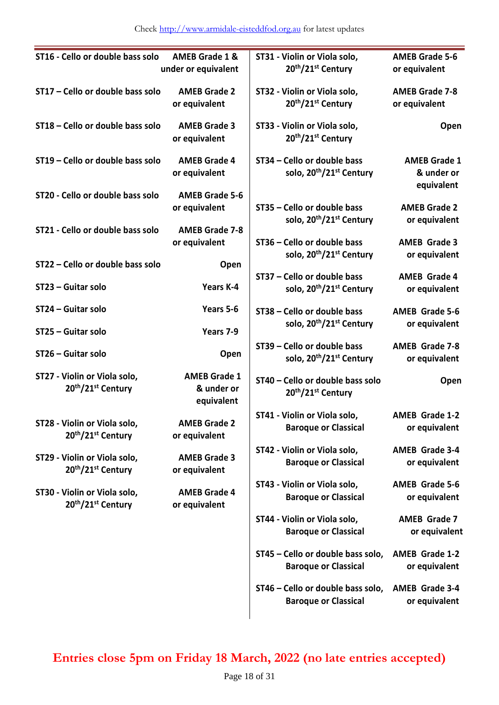| ST16 - Cello or double bass solo                              | <b>AMEB Grade 1 &amp;</b><br>under or equivalent | ST31 - Violin or Viola solo,<br>20th/21st Century                               | <b>AMEB Grade 5-6</b><br>or equivalent          |
|---------------------------------------------------------------|--------------------------------------------------|---------------------------------------------------------------------------------|-------------------------------------------------|
| ST17 - Cello or double bass solo                              | <b>AMEB Grade 2</b><br>or equivalent             | ST32 - Violin or Viola solo,<br>20th/21st Century                               | <b>AMEB Grade 7-8</b><br>or equivalent          |
| ST18 - Cello or double bass solo                              | <b>AMEB Grade 3</b><br>or equivalent             | ST33 - Violin or Viola solo,<br>20th/21st Century                               | Open                                            |
| ST19 - Cello or double bass solo                              | <b>AMEB Grade 4</b><br>or equivalent             | ST34 - Cello or double bass<br>solo, 20 <sup>th</sup> /21 <sup>st</sup> Century | <b>AMEB Grade 1</b><br>& under or<br>equivalent |
| ST20 - Cello or double bass solo                              | <b>AMEB Grade 5-6</b><br>or equivalent           | ST35 - Cello or double bass<br>solo, 20 <sup>th</sup> /21 <sup>st</sup> Century | <b>AMEB Grade 2</b><br>or equivalent            |
| ST21 - Cello or double bass solo                              | <b>AMEB Grade 7-8</b><br>or equivalent           | ST36 - Cello or double bass                                                     | <b>AMEB Grade 3</b>                             |
| ST22 - Cello or double bass solo                              | Open                                             | solo, 20 <sup>th</sup> /21 <sup>st</sup> Century                                | or equivalent                                   |
| ST23 - Guitar solo                                            | Years K-4                                        | ST37 - Cello or double bass<br>solo, 20 <sup>th</sup> /21 <sup>st</sup> Century | <b>AMEB Grade 4</b><br>or equivalent            |
| ST24 - Guitar solo                                            | Years 5-6                                        | ST38 - Cello or double bass                                                     | <b>AMEB Grade 5-6</b>                           |
| ST25 - Guitar solo                                            | Years 7-9                                        | solo, 20 <sup>th</sup> /21 <sup>st</sup> Century                                | or equivalent                                   |
| ST26 - Guitar solo                                            | Open                                             | ST39 - Cello or double bass<br>solo, 20 <sup>th</sup> /21 <sup>st</sup> Century | <b>AMEB Grade 7-8</b><br>or equivalent          |
| ST27 - Violin or Viola solo,<br>20th/21 <sup>st</sup> Century | <b>AMEB Grade 1</b><br>& under or<br>equivalent  | ST40 - Cello or double bass solo<br>20th/21st Century                           | Open                                            |
| ST28 - Violin or Viola solo,<br>20th/21 <sup>st</sup> Century | <b>AMEB Grade 2</b><br>or equivalent             | ST41 - Violin or Viola solo,<br><b>Baroque or Classical</b>                     | <b>AMEB Grade 1-2</b><br>or equivalent          |
| ST29 - Violin or Viola solo,<br>20th/21st Century             | <b>AMEB Grade 3</b><br>or equivalent             | ST42 - Violin or Viola solo,<br><b>Baroque or Classical</b>                     | <b>AMEB Grade 3-4</b><br>or equivalent          |
| ST30 - Violin or Viola solo,<br>20th/21st Century             | <b>AMEB Grade 4</b><br>or equivalent             | ST43 - Violin or Viola solo,<br><b>Baroque or Classical</b>                     | <b>AMEB Grade 5-6</b><br>or equivalent          |
|                                                               |                                                  | ST44 - Violin or Viola solo,<br><b>Baroque or Classical</b>                     | <b>AMEB Grade 7</b><br>or equivalent            |
|                                                               |                                                  | ST45 - Cello or double bass solo,<br><b>Baroque or Classical</b>                | <b>AMEB Grade 1-2</b><br>or equivalent          |
|                                                               |                                                  | ST46 - Cello or double bass solo,<br><b>Baroque or Classical</b>                | <b>AMEB Grade 3-4</b><br>or equivalent          |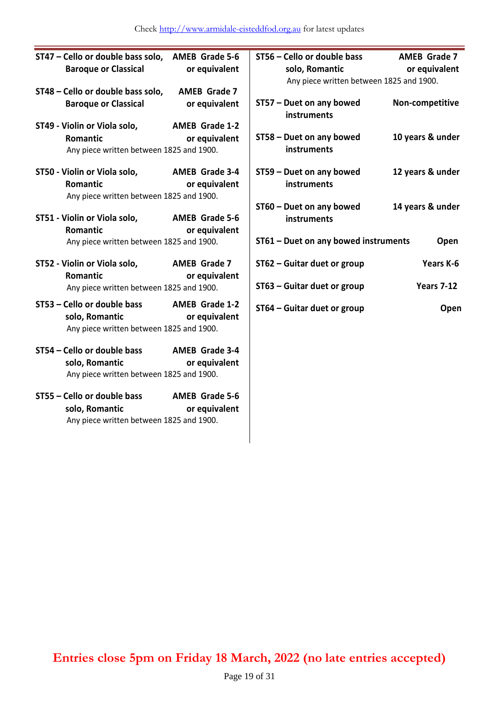| ST47 - Cello or double bass solo,        | <b>AMEB Grade 5-6</b> | ST56 - Cello or double bass              | <b>AMEB Grade 7</b> |
|------------------------------------------|-----------------------|------------------------------------------|---------------------|
| <b>Baroque or Classical</b>              | or equivalent         | solo, Romantic                           | or equivalent       |
|                                          |                       | Any piece written between 1825 and 1900. |                     |
| ST48 - Cello or double bass solo,        | <b>AMEB Grade 7</b>   |                                          |                     |
| <b>Baroque or Classical</b>              | or equivalent         | ST57 - Duet on any bowed<br>instruments  | Non-competitive     |
| ST49 - Violin or Viola solo,             | <b>AMEB Grade 1-2</b> |                                          |                     |
| Romantic                                 | or equivalent         | ST58 - Duet on any bowed                 | 10 years & under    |
| Any piece written between 1825 and 1900. |                       | instruments                              |                     |
|                                          |                       |                                          |                     |
| ST50 - Violin or Viola solo,             | <b>AMEB Grade 3-4</b> | ST59 - Duet on any bowed                 | 12 years & under    |
| Romantic                                 | or equivalent         | instruments                              |                     |
| Any piece written between 1825 and 1900. |                       |                                          |                     |
|                                          | <b>AMEB Grade 5-6</b> | ST60 - Duet on any bowed                 | 14 years & under    |
| ST51 - Violin or Viola solo,<br>Romantic | or equivalent         | instruments                              |                     |
| Any piece written between 1825 and 1900. |                       | ST61 - Duet on any bowed instruments     | Open                |
|                                          |                       |                                          |                     |
| ST52 - Violin or Viola solo,             | <b>AMEB Grade 7</b>   | ST62 - Guitar duet or group              | Years K-6           |
| Romantic                                 | or equivalent         |                                          |                     |
| Any piece written between 1825 and 1900. |                       | ST63 - Guitar duet or group              | <b>Years 7-12</b>   |
| ST53 - Cello or double bass              | <b>AMEB Grade 1-2</b> | ST64 - Guitar duet or group              | Open                |
| solo, Romantic                           | or equivalent         |                                          |                     |
| Any piece written between 1825 and 1900. |                       |                                          |                     |
|                                          |                       |                                          |                     |
| ST54 - Cello or double bass              | <b>AMEB Grade 3-4</b> |                                          |                     |
| solo, Romantic                           | or equivalent         |                                          |                     |
| Any piece written between 1825 and 1900. |                       |                                          |                     |
| ST55 - Cello or double bass              | <b>AMEB Grade 5-6</b> |                                          |                     |
| solo, Romantic                           | or equivalent         |                                          |                     |
| Any piece written between 1825 and 1900. |                       |                                          |                     |
|                                          |                       |                                          |                     |
|                                          |                       |                                          |                     |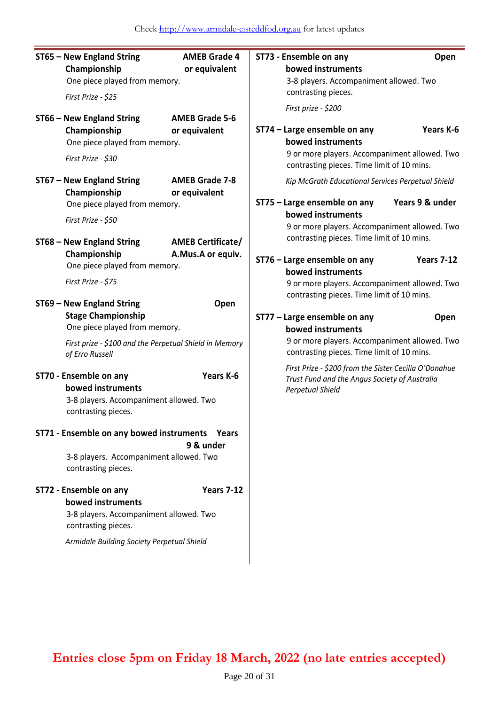| ST65 - New England String<br>Championship<br>One piece played from memory.<br>First Prize - \$25                                                                     | <b>AMEB Grade 4</b><br>or equivalent                 | ST73 - Ensemble on any<br>bowed instruments<br>3-8 players. Accompaniment allowed. Two<br>contrasting pieces.<br>First prize - \$200                                                           | Open                                                                                                   |
|----------------------------------------------------------------------------------------------------------------------------------------------------------------------|------------------------------------------------------|------------------------------------------------------------------------------------------------------------------------------------------------------------------------------------------------|--------------------------------------------------------------------------------------------------------|
| ST66 - New England String<br>Championship<br>One piece played from memory.<br>First Prize - \$30                                                                     | <b>AMEB Grade 5-6</b><br>or equivalent               | ST74 - Large ensemble on any<br>bowed instruments<br>9 or more players. Accompaniment allowed. Two<br>contrasting pieces. Time limit of 10 mins.                                               | Years K-6                                                                                              |
| ST67 - New England String<br>Championship<br>One piece played from memory.<br>First Prize - \$50                                                                     | <b>AMEB Grade 7-8</b><br>or equivalent               | Kip McGrath Educational Services Perpetual Shield<br>ST75 - Large ensemble on any<br>bowed instruments<br>9 or more players. Accompaniment allowed. Two                                        | Years 9 & under                                                                                        |
| ST68 - New England String<br>Championship<br>One piece played from memory.<br>First Prize - \$75                                                                     | <b>AMEB Certificate/</b><br>A.Mus.A or equiv.        | contrasting pieces. Time limit of 10 mins.<br>ST76 - Large ensemble on any<br>bowed instruments<br>9 or more players. Accompaniment allowed. Two                                               | <b>Years 7-12</b>                                                                                      |
| ST69 - New England String<br><b>Stage Championship</b><br>One piece played from memory.<br>First prize - \$100 and the Perpetual Shield in Memory<br>of Erro Russell | Open                                                 | contrasting pieces. Time limit of 10 mins.<br>ST77 - Large ensemble on any<br>bowed instruments<br>9 or more players. Accompaniment allowed. Two<br>contrasting pieces. Time limit of 10 mins. | Open                                                                                                   |
| ST70 - Ensemble on any<br>bowed instruments<br>contrasting pieces.                                                                                                   | Years K-6<br>3-8 players. Accompaniment allowed. Two |                                                                                                                                                                                                | First Prize - \$200 from the Sister Cecilia O'Donahue<br>Trust Fund and the Angus Society of Australia |
| ST71 - Ensemble on any bowed instruments<br>3-8 players. Accompaniment allowed. Two<br>contrasting pieces.                                                           | Years<br>9 & under                                   |                                                                                                                                                                                                |                                                                                                        |
| ST72 - Ensemble on any<br>bowed instruments<br>3-8 players. Accompaniment allowed. Two<br>contrasting pieces.<br>Armidale Building Society Perpetual Shield          | <b>Years 7-12</b>                                    |                                                                                                                                                                                                |                                                                                                        |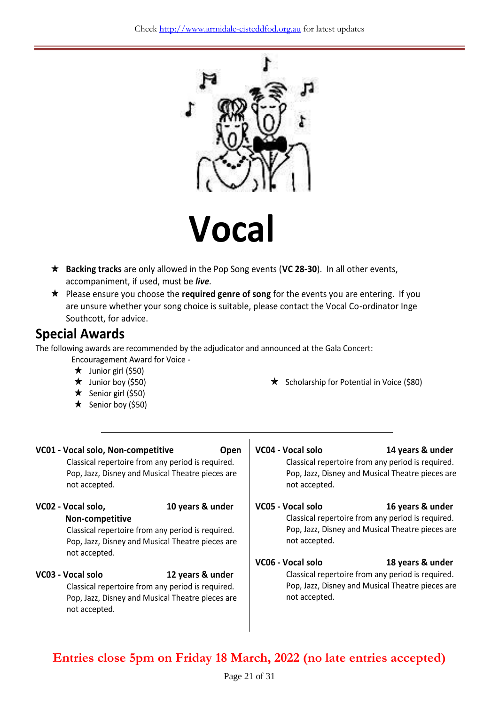

 **Backing tracks** are only allowed in the Pop Song events (**VC 28-30**). In all other events, accompaniment, if used, must be *live.*

 Please ensure you choose the **required genre of song** for the events you are entering. If you are unsure whether your song choice is suitable, please contact the Vocal Co-ordinator Inge Southcott, for advice.

### **Special Awards**

The following awards are recommended by the adjudicator and announced at the Gala Concert:

Encouragement Award for Voice -

- $\star$  Junior girl (\$50)
- $\star$  Junior boy (\$50)
- $\star$  Senior girl (\$50)
- $\star$  Senior boy (\$50)

 $\star$  Scholarship for Potential in Voice (\$80)

| VC01 - Vocal solo, Non-competitive<br>Open<br>Classical repertoire from any period is required.<br>Pop, Jazz, Disney and Musical Theatre pieces are<br>not accepted. |                  | VC04 - Vocal solo<br>not accepted.                                                                                     | 14 years & under<br>Classical repertoire from any period is required.<br>Pop, Jazz, Disney and Musical Theatre pieces are                     |
|----------------------------------------------------------------------------------------------------------------------------------------------------------------------|------------------|------------------------------------------------------------------------------------------------------------------------|-----------------------------------------------------------------------------------------------------------------------------------------------|
| VC02 - Vocal solo,<br>Non-competitive<br>Classical repertoire from any period is required.<br>Pop, Jazz, Disney and Musical Theatre pieces are<br>not accepted.      | 10 years & under | VC05 - Vocal solo<br>not accepted.<br>VC06 - Vocal solo                                                                | 16 years & under<br>Classical repertoire from any period is required.<br>Pop, Jazz, Disney and Musical Theatre pieces are<br>18 years & under |
| VC03 - Vocal solo<br>Classical repertoire from any period is required.<br>Pop, Jazz, Disney and Musical Theatre pieces are<br>not accepted.                          | 12 years & under | Classical repertoire from any period is required.<br>Pop, Jazz, Disney and Musical Theatre pieces are<br>not accepted. |                                                                                                                                               |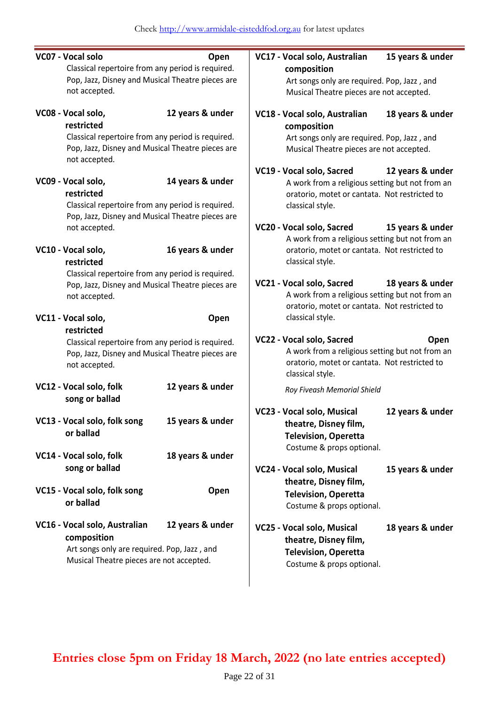| VC07 - Vocal solo                                                 | Open             | VC17 - Vocal solo, Australian                                                           | 15 years & under |
|-------------------------------------------------------------------|------------------|-----------------------------------------------------------------------------------------|------------------|
| Classical repertoire from any period is required.                 |                  | composition                                                                             |                  |
| Pop, Jazz, Disney and Musical Theatre pieces are<br>not accepted. |                  | Art songs only are required. Pop, Jazz, and<br>Musical Theatre pieces are not accepted. |                  |
|                                                                   |                  |                                                                                         |                  |
| VC08 - Vocal solo,                                                | 12 years & under | VC18 - Vocal solo, Australian                                                           | 18 years & under |
| restricted                                                        |                  | composition                                                                             |                  |
| Classical repertoire from any period is required.                 |                  | Art songs only are required. Pop, Jazz, and                                             |                  |
| Pop, Jazz, Disney and Musical Theatre pieces are<br>not accepted. |                  | Musical Theatre pieces are not accepted.                                                |                  |
|                                                                   |                  | VC19 - Vocal solo, Sacred                                                               | 12 years & under |
| VC09 - Vocal solo,                                                | 14 years & under | A work from a religious setting but not from an                                         |                  |
| restricted                                                        |                  | oratorio, motet or cantata. Not restricted to                                           |                  |
| Classical repertoire from any period is required.                 |                  | classical style.                                                                        |                  |
| Pop, Jazz, Disney and Musical Theatre pieces are                  |                  |                                                                                         |                  |
| not accepted.                                                     |                  | VC20 - Vocal solo, Sacred                                                               | 15 years & under |
|                                                                   |                  | A work from a religious setting but not from an                                         |                  |
| VC10 - Vocal solo,                                                | 16 years & under | oratorio, motet or cantata. Not restricted to                                           |                  |
| restricted                                                        |                  | classical style.                                                                        |                  |
| Classical repertoire from any period is required.                 |                  | VC21 - Vocal solo, Sacred                                                               | 18 years & under |
| Pop, Jazz, Disney and Musical Theatre pieces are<br>not accepted. |                  | A work from a religious setting but not from an                                         |                  |
|                                                                   |                  | oratorio, motet or cantata. Not restricted to                                           |                  |
| VC11 - Vocal solo,                                                | Open             | classical style.                                                                        |                  |
| restricted                                                        |                  |                                                                                         |                  |
| Classical repertoire from any period is required.                 |                  | VC22 - Vocal solo, Sacred                                                               | Open             |
| Pop, Jazz, Disney and Musical Theatre pieces are                  |                  | A work from a religious setting but not from an                                         |                  |
| not accepted.                                                     |                  | oratorio, motet or cantata. Not restricted to                                           |                  |
|                                                                   |                  | classical style.                                                                        |                  |
| VC12 - Vocal solo, folk                                           | 12 years & under | Roy Fiveash Memorial Shield                                                             |                  |
| song or ballad                                                    |                  |                                                                                         |                  |
|                                                                   |                  | VC23 - Vocal solo, Musical                                                              | 12 years & under |
| VC13 - Vocal solo, folk song                                      | 15 years & under | theatre, Disney film,                                                                   |                  |
| or ballad                                                         |                  | <b>Television, Operetta</b>                                                             |                  |
|                                                                   |                  | Costume & props optional.                                                               |                  |
| VC14 - Vocal solo, folk                                           | 18 years & under |                                                                                         |                  |
| song or ballad                                                    |                  | VC24 - Vocal solo, Musical                                                              | 15 years & under |
|                                                                   |                  | theatre, Disney film,                                                                   |                  |
| VC15 - Vocal solo, folk song                                      | Open             | <b>Television, Operetta</b>                                                             |                  |
| or ballad                                                         |                  | Costume & props optional.                                                               |                  |
| VC16 - Vocal solo, Australian                                     | 12 years & under | VC25 - Vocal solo, Musical                                                              | 18 years & under |
| composition                                                       |                  | theatre, Disney film,                                                                   |                  |
| Art songs only are required. Pop, Jazz, and                       |                  | <b>Television, Operetta</b>                                                             |                  |
| Musical Theatre pieces are not accepted.                          |                  | Costume & props optional.                                                               |                  |
|                                                                   |                  |                                                                                         |                  |
|                                                                   |                  |                                                                                         |                  |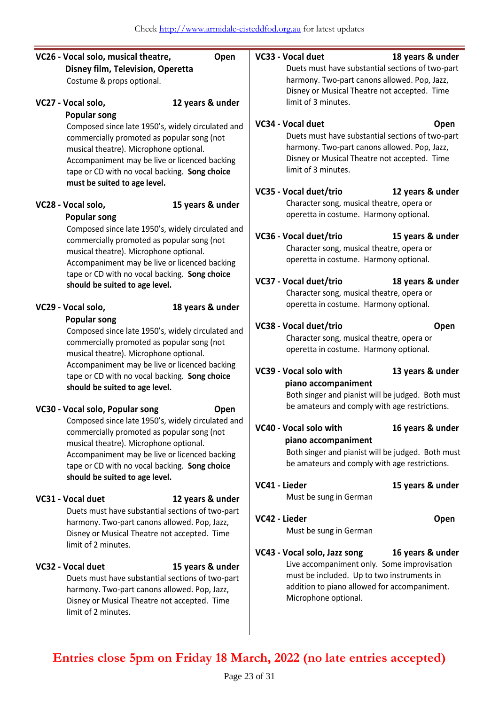| VC26 - Vocal solo, musical theatre,                                                     | Open             |                                                                                                    | VC33 - Vocal duet                                                    | 18 years & under                                  |  |
|-----------------------------------------------------------------------------------------|------------------|----------------------------------------------------------------------------------------------------|----------------------------------------------------------------------|---------------------------------------------------|--|
| Disney film, Television, Operetta                                                       |                  | Duets must have substantial sections of two-part<br>harmony. Two-part canons allowed. Pop, Jazz,   |                                                                      |                                                   |  |
| Costume & props optional.                                                               |                  |                                                                                                    |                                                                      |                                                   |  |
|                                                                                         |                  | Disney or Musical Theatre not accepted. Time                                                       |                                                                      |                                                   |  |
| VC27 - Vocal solo,                                                                      | 12 years & under |                                                                                                    | limit of 3 minutes.                                                  |                                                   |  |
| <b>Popular song</b>                                                                     |                  |                                                                                                    |                                                                      |                                                   |  |
| Composed since late 1950's, widely circulated and                                       |                  |                                                                                                    | VC34 - Vocal duet                                                    | Open                                              |  |
| commercially promoted as popular song (not                                              |                  |                                                                                                    | Duets must have substantial sections of two-part                     |                                                   |  |
| musical theatre). Microphone optional.                                                  |                  |                                                                                                    | harmony. Two-part canons allowed. Pop, Jazz,                         |                                                   |  |
| Accompaniment may be live or licenced backing                                           |                  |                                                                                                    | Disney or Musical Theatre not accepted. Time<br>limit of 3 minutes.  |                                                   |  |
| tape or CD with no vocal backing. Song choice                                           |                  |                                                                                                    |                                                                      |                                                   |  |
| must be suited to age level.                                                            |                  |                                                                                                    | VC35 - Vocal duet/trio                                               | 12 years & under                                  |  |
| VC28 - Vocal solo,                                                                      | 15 years & under |                                                                                                    | Character song, musical theatre, opera or                            |                                                   |  |
| <b>Popular song</b>                                                                     |                  |                                                                                                    | operetta in costume. Harmony optional.                               |                                                   |  |
| Composed since late 1950's, widely circulated and                                       |                  |                                                                                                    |                                                                      |                                                   |  |
| commercially promoted as popular song (not                                              |                  |                                                                                                    | VC36 - Vocal duet/trio                                               | 15 years & under                                  |  |
| musical theatre). Microphone optional.                                                  |                  |                                                                                                    | Character song, musical theatre, opera or                            |                                                   |  |
| Accompaniment may be live or licenced backing                                           |                  |                                                                                                    | operetta in costume. Harmony optional.                               |                                                   |  |
| tape or CD with no vocal backing. Song choice                                           |                  |                                                                                                    |                                                                      |                                                   |  |
| should be suited to age level.                                                          |                  |                                                                                                    | VC37 - Vocal duet/trio                                               | 18 years & under                                  |  |
|                                                                                         |                  |                                                                                                    | Character song, musical theatre, opera or                            |                                                   |  |
| VC29 - Vocal solo,                                                                      | 18 years & under |                                                                                                    | operetta in costume. Harmony optional.                               |                                                   |  |
| <b>Popular song</b>                                                                     |                  |                                                                                                    | VC38 - Vocal duet/trio                                               | Open                                              |  |
| Composed since late 1950's, widely circulated and                                       |                  | Character song, musical theatre, opera or                                                          |                                                                      |                                                   |  |
| commercially promoted as popular song (not                                              |                  | operetta in costume. Harmony optional.                                                             |                                                                      |                                                   |  |
| musical theatre). Microphone optional.<br>Accompaniment may be live or licenced backing |                  |                                                                                                    |                                                                      |                                                   |  |
| tape or CD with no vocal backing. Song choice                                           |                  |                                                                                                    | VC39 - Vocal solo with                                               | 13 years & under                                  |  |
| should be suited to age level.                                                          |                  |                                                                                                    | piano accompaniment                                                  |                                                   |  |
|                                                                                         |                  |                                                                                                    |                                                                      | Both singer and pianist will be judged. Both must |  |
| VC30 - Vocal solo, Popular song                                                         | Open             |                                                                                                    | be amateurs and comply with age restrictions.                        |                                                   |  |
| Composed since late 1950's, widely circulated and                                       |                  |                                                                                                    | VC40 - Vocal solo with                                               |                                                   |  |
| commercially promoted as popular song (not                                              |                  |                                                                                                    |                                                                      | 16 years & under                                  |  |
| musical theatre). Microphone optional.                                                  |                  |                                                                                                    | piano accompaniment                                                  |                                                   |  |
| Accompaniment may be live or licenced backing                                           |                  | Both singer and pianist will be judged. Both must<br>be amateurs and comply with age restrictions. |                                                                      |                                                   |  |
| tape or CD with no vocal backing. Song choice                                           |                  |                                                                                                    |                                                                      |                                                   |  |
| should be suited to age level.                                                          |                  | VC41 - Lieder                                                                                      |                                                                      | 15 years & under                                  |  |
| VC31 - Vocal duet                                                                       | 12 years & under |                                                                                                    | Must be sung in German                                               |                                                   |  |
| Duets must have substantial sections of two-part                                        |                  |                                                                                                    |                                                                      |                                                   |  |
| harmony. Two-part canons allowed. Pop, Jazz,                                            |                  | VC42 - Lieder                                                                                      |                                                                      | Open                                              |  |
| Disney or Musical Theatre not accepted. Time                                            |                  |                                                                                                    | Must be sung in German                                               |                                                   |  |
| limit of 2 minutes.                                                                     |                  |                                                                                                    |                                                                      |                                                   |  |
|                                                                                         |                  |                                                                                                    | VC43 - Vocal solo, Jazz song                                         | 16 years & under                                  |  |
| VC32 - Vocal duet                                                                       | 15 years & under |                                                                                                    | Live accompaniment only. Some improvisation                          |                                                   |  |
| Duets must have substantial sections of two-part                                        |                  |                                                                                                    | must be included. Up to two instruments in                           |                                                   |  |
| harmony. Two-part canons allowed. Pop, Jazz,                                            |                  |                                                                                                    | addition to piano allowed for accompaniment.<br>Microphone optional. |                                                   |  |
| Disney or Musical Theatre not accepted. Time                                            |                  |                                                                                                    |                                                                      |                                                   |  |
| limit of 2 minutes.                                                                     |                  |                                                                                                    |                                                                      |                                                   |  |
|                                                                                         |                  |                                                                                                    |                                                                      |                                                   |  |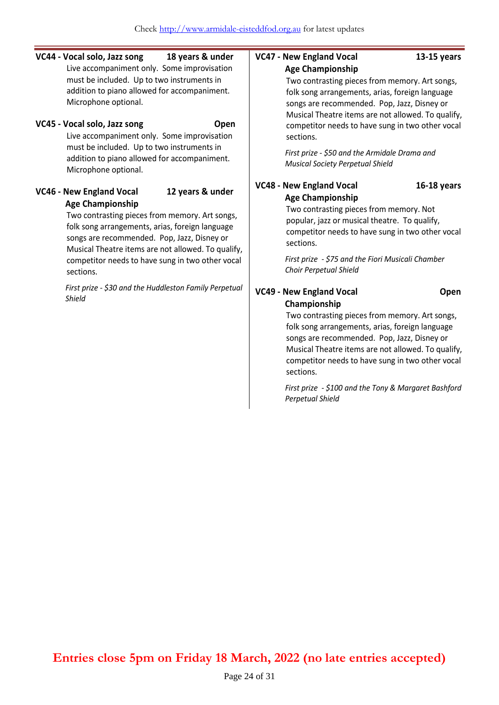**VC44 - Vocal solo, Jazz song 18 years & under** Live accompaniment only. Some improvisation must be included. Up to two instruments in addition to piano allowed for accompaniment. Microphone optional.

#### **VC45 - Vocal solo, Jazz song <b>Open**

Live accompaniment only. Some improvisation must be included. Up to two instruments in addition to piano allowed for accompaniment. Microphone optional.

#### **VC46 - New England Vocal 12 years & under Age Championship**

Two contrasting pieces from memory. Art songs, folk song arrangements, arias, foreign language songs are recommended. Pop, Jazz, Disney or Musical Theatre items are not allowed. To qualify, competitor needs to have sung in two other vocal sections.

*First prize - \$30 and the Huddleston Family Perpetual Shield*

#### **VC47 - New England Vocal 13-15 years**

#### **Age Championship**

Two contrasting pieces from memory. Art songs, folk song arrangements, arias, foreign language songs are recommended. Pop, Jazz, Disney or Musical Theatre items are not allowed. To qualify, competitor needs to have sung in two other vocal sections.

*First prize - \$50 and the Armidale Drama and Musical Society Perpetual Shield*

#### **VC48 - New England Vocal 16-18 years Age Championship**

Two contrasting pieces from memory. Not popular, jazz or musical theatre. To qualify, competitor needs to have sung in two other vocal sections.

*First prize - \$75 and the Fiori Musicali Chamber Choir Perpetual Shield*

**VC49 - New England Vocal Open Championship**

Two contrasting pieces from memory. Art songs, folk song arrangements, arias, foreign language songs are recommended. Pop, Jazz, Disney or Musical Theatre items are not allowed. To qualify, competitor needs to have sung in two other vocal sections.

*First prize - \$100 and the Tony & Margaret Bashford Perpetual Shield*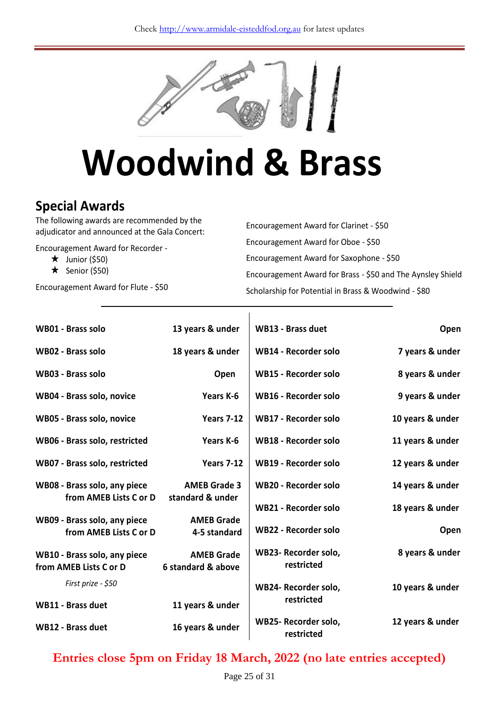

# **Woodwind & Brass**

## **Special Awards**

The following awards are recommended by the adjudicator and announced at the Gala Concert:

Encouragement Award for Recorder -

- $\star$  Junior (\$50)
- $\star$  Senior (\$50)

Encouragement Award for Flute - \$50

Encouragement Award for Clarinet - \$50 Encouragement Award for Oboe - \$50 Encouragement Award for Saxophone - \$50 Encouragement Award for Brass - \$50 and The Aynsley Shield Scholarship for Potential in Brass & Woodwind - \$80

| WB01 - Brass solo                                      | 13 years & under                        | <b>WB13 - Brass duet</b>           | Open             |
|--------------------------------------------------------|-----------------------------------------|------------------------------------|------------------|
| <b>WB02 - Brass solo</b>                               | 18 years & under                        | <b>WB14 - Recorder solo</b>        | 7 years & under  |
| WB03 - Brass solo                                      | Open                                    | <b>WB15 - Recorder solo</b>        | 8 years & under  |
| WB04 - Brass solo, novice                              | Years K-6                               | <b>WB16 - Recorder solo</b>        | 9 years & under  |
| WB05 - Brass solo, novice                              | <b>Years 7-12</b>                       | <b>WB17 - Recorder solo</b>        | 10 years & under |
| WB06 - Brass solo, restricted                          | Years K-6                               | WB18 - Recorder solo               | 11 years & under |
| WB07 - Brass solo, restricted                          | <b>Years 7-12</b>                       | WB19 - Recorder solo               | 12 years & under |
| WB08 - Brass solo, any piece                           | <b>AMEB Grade 3</b>                     | WB20 - Recorder solo               | 14 years & under |
| from AMEB Lists C or D                                 | standard & under                        | <b>WB21 - Recorder solo</b>        | 18 years & under |
| WB09 - Brass solo, any piece<br>from AMEB Lists C or D | <b>AMEB Grade</b><br>4-5 standard       | <b>WB22 - Recorder solo</b>        | Open             |
| WB10 - Brass solo, any piece<br>from AMEB Lists C or D | <b>AMEB Grade</b><br>6 standard & above | WB23- Recorder solo,<br>restricted | 8 years & under  |
| First prize - \$50                                     |                                         | WB24- Recorder solo,               | 10 years & under |
| <b>WB11 - Brass duet</b>                               | 11 years & under                        | restricted                         |                  |
| <b>WB12 - Brass duet</b>                               | 16 years & under                        | WB25- Recorder solo,<br>restricted | 12 years & under |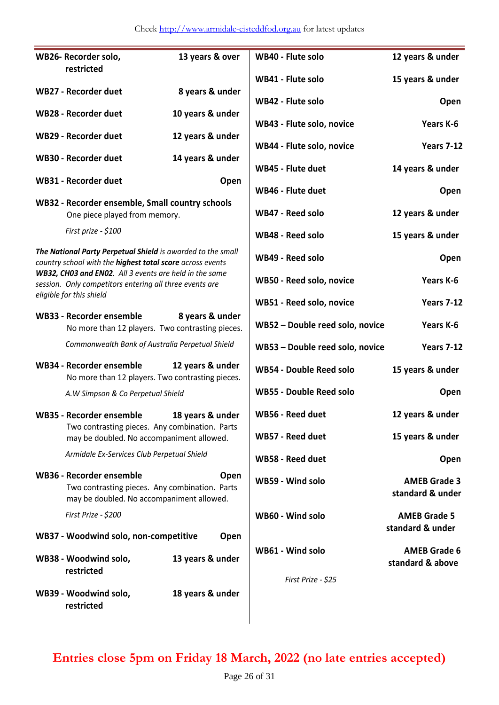#### Check [http://www.armidale-eisteddfod.org.au](http://www.armidale-eisteddfod.org.au/) for latest updates

|                                                                                                                                        | WB26- Recorder solo,                                                                                                                        |                  | WB40 - Flute solo               | 12 years & under                        |
|----------------------------------------------------------------------------------------------------------------------------------------|---------------------------------------------------------------------------------------------------------------------------------------------|------------------|---------------------------------|-----------------------------------------|
|                                                                                                                                        | restricted                                                                                                                                  | 13 years & over  |                                 |                                         |
|                                                                                                                                        | <b>WB27 - Recorder duet</b>                                                                                                                 | 8 years & under  | WB41 - Flute solo               | 15 years & under                        |
|                                                                                                                                        | <b>WB28 - Recorder duet</b>                                                                                                                 | 10 years & under | WB42 - Flute solo               | Open                                    |
|                                                                                                                                        |                                                                                                                                             |                  | WB43 - Flute solo, novice       | Years K-6                               |
|                                                                                                                                        | <b>WB29 - Recorder duet</b>                                                                                                                 | 12 years & under | WB44 - Flute solo, novice       | <b>Years 7-12</b>                       |
|                                                                                                                                        | WB30 - Recorder duet                                                                                                                        | 14 years & under | WB45 - Flute duet               | 14 years & under                        |
|                                                                                                                                        | <b>WB31 - Recorder duet</b>                                                                                                                 | Open             | WB46 - Flute duet               | Open                                    |
|                                                                                                                                        | WB32 - Recorder ensemble, Small country schools<br>One piece played from memory.                                                            |                  | WB47 - Reed solo                | 12 years & under                        |
|                                                                                                                                        | First prize - \$100                                                                                                                         |                  | WB48 - Reed solo                | 15 years & under                        |
|                                                                                                                                        | The National Party Perpetual Shield is awarded to the small<br>country school with the highest total score across events                    |                  | WB49 - Reed solo                | Open                                    |
|                                                                                                                                        | WB32, CH03 and EN02. All 3 events are held in the same<br>session. Only competitors entering all three events are                           |                  | WB50 - Reed solo, novice        | Years K-6                               |
|                                                                                                                                        | eligible for this shield                                                                                                                    |                  | WB51 - Reed solo, novice        | <b>Years 7-12</b>                       |
|                                                                                                                                        | WB33 - Recorder ensemble<br>No more than 12 players. Two contrasting pieces.                                                                | 8 years & under  | WB52 - Double reed solo, novice | Years K-6                               |
|                                                                                                                                        | Commonwealth Bank of Australia Perpetual Shield                                                                                             |                  | WB53 - Double reed solo, novice | <b>Years 7-12</b>                       |
| WB34 - Recorder ensemble<br>12 years & under<br>No more than 12 players. Two contrasting pieces.<br>A.W Simpson & Co Perpetual Shield  |                                                                                                                                             |                  | <b>WB54 - Double Reed solo</b>  | 15 years & under                        |
|                                                                                                                                        |                                                                                                                                             |                  | <b>WB55 - Double Reed solo</b>  | Open                                    |
|                                                                                                                                        | 18 years & under<br>WB35 - Recorder ensemble<br>Two contrasting pieces. Any combination. Parts<br>may be doubled. No accompaniment allowed. |                  | WB56 - Reed duet                | 12 years & under                        |
|                                                                                                                                        |                                                                                                                                             |                  | WB57 - Reed duet                | 15 years & under                        |
|                                                                                                                                        | Armidale Ex-Services Club Perpetual Shield                                                                                                  |                  | WB58 - Reed duet                | Open                                    |
| <b>WB36 - Recorder ensemble</b><br>Open<br>Two contrasting pieces. Any combination. Parts<br>may be doubled. No accompaniment allowed. |                                                                                                                                             |                  | WB59 - Wind solo                | <b>AMEB Grade 3</b><br>standard & under |
|                                                                                                                                        | First Prize - \$200                                                                                                                         |                  | WB60 - Wind solo                | <b>AMEB Grade 5</b><br>standard & under |
|                                                                                                                                        | WB37 - Woodwind solo, non-competitive                                                                                                       | Open             |                                 |                                         |
|                                                                                                                                        | WB38 - Woodwind solo,<br>restricted                                                                                                         | 13 years & under | WB61 - Wind solo                | <b>AMEB Grade 6</b><br>standard & above |
|                                                                                                                                        |                                                                                                                                             |                  | First Prize - \$25              |                                         |
|                                                                                                                                        | WB39 - Woodwind solo,<br>restricted                                                                                                         | 18 years & under |                                 |                                         |
|                                                                                                                                        |                                                                                                                                             |                  |                                 |                                         |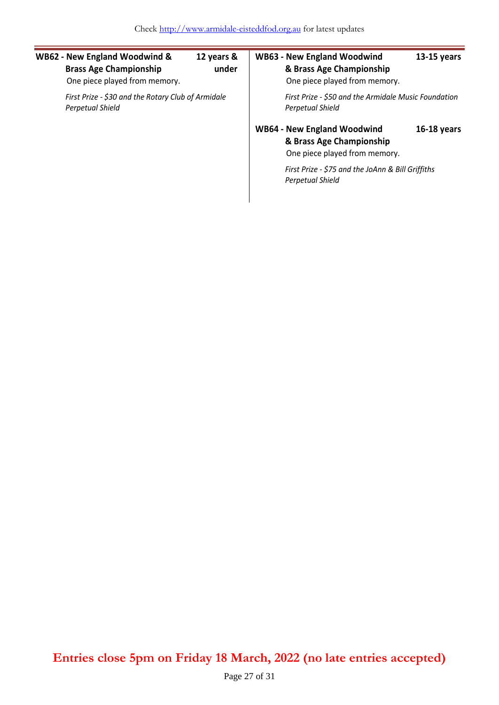| <b>WB62 - New England Woodwind &amp;</b><br><b>Brass Age Championship</b><br>One piece played from memory. | 12 years &<br>under | <b>WB63 - New England Woodwind</b><br>& Brass Age Championship<br>One piece played from memory. | $13-15$ years |  |
|------------------------------------------------------------------------------------------------------------|---------------------|-------------------------------------------------------------------------------------------------|---------------|--|
| First Prize - \$30 and the Rotary Club of Armidale<br>Perpetual Shield                                     |                     | First Prize - \$50 and the Armidale Music Foundation<br><b>Perpetual Shield</b>                 |               |  |
|                                                                                                            |                     | <b>WB64 - New England Woodwind</b><br>& Brass Age Championship<br>One piece played from memory. | $16-18$ years |  |
|                                                                                                            |                     | First Prize - \$75 and the JoAnn & Bill Griffiths<br>Perpetual Shield                           |               |  |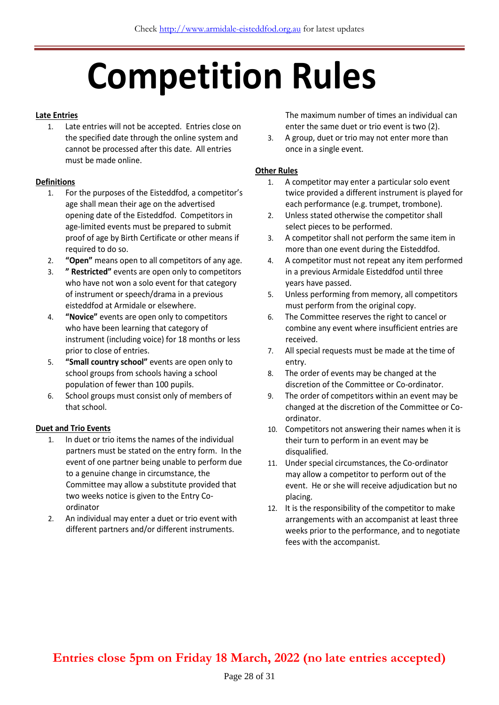# **Competition Rules**

#### **Late Entries**

1. Late entries will not be accepted. Entries close on the specified date through the online system and cannot be processed after this date. All entries must be made online.

#### **Definitions**

- 1. For the purposes of the Eisteddfod, a competitor's age shall mean their age on the advertised opening date of the Eisteddfod. Competitors in age-limited events must be prepared to submit proof of age by Birth Certificate or other means if required to do so.
- 2. **"Open"** means open to all competitors of any age.
- 3. **" Restricted"** events are open only to competitors who have not won a solo event for that category of instrument or speech/drama in a previous eisteddfod at Armidale or elsewhere.
- 4. **"Novice"** events are open only to competitors who have been learning that category of instrument (including voice) for 18 months or less prior to close of entries.
- 5. **"Small country school"** events are open only to school groups from schools having a school population of fewer than 100 pupils.
- 6. School groups must consist only of members of that school.

#### **Duet and Trio Events**

- 1. In duet or trio items the names of the individual partners must be stated on the entry form. In the event of one partner being unable to perform due to a genuine change in circumstance, the Committee may allow a substitute provided that two weeks notice is given to the Entry Coordinator
- 2. An individual may enter a duet or trio event with different partners and/or different instruments.

The maximum number of times an individual can enter the same duet or trio event is two (2).

3. A group, duet or trio may not enter more than once in a single event.

#### **Other Rules**

- 1. A competitor may enter a particular solo event twice provided a different instrument is played for each performance (e.g. trumpet, trombone).
- 2. Unless stated otherwise the competitor shall select pieces to be performed.
- 3. A competitor shall not perform the same item in more than one event during the Eisteddfod.
- 4. A competitor must not repeat any item performed in a previous Armidale Eisteddfod until three years have passed.
- 5. Unless performing from memory, all competitors must perform from the original copy.
- 6. The Committee reserves the right to cancel or combine any event where insufficient entries are received.
- 7. All special requests must be made at the time of entry.
- 8. The order of events may be changed at the discretion of the Committee or Co-ordinator.
- 9. The order of competitors within an event may be changed at the discretion of the Committee or Coordinator.
- 10. Competitors not answering their names when it is their turn to perform in an event may be disqualified.
- 11. Under special circumstances, the Co-ordinator may allow a competitor to perform out of the event. He or she will receive adjudication but no placing.
- 12. It is the responsibility of the competitor to make arrangements with an accompanist at least three weeks prior to the performance, and to negotiate fees with the accompanist.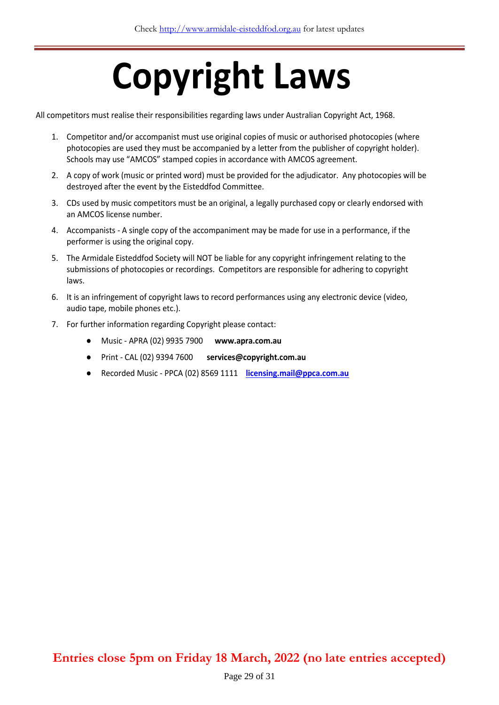# **Copyright Laws**

All competitors must realise their responsibilities regarding laws under Australian Copyright Act, 1968.

- 1. Competitor and/or accompanist must use original copies of music or authorised photocopies (where photocopies are used they must be accompanied by a letter from the publisher of copyright holder). Schools may use "AMCOS" stamped copies in accordance with AMCOS agreement.
- 2. A copy of work (music or printed word) must be provided for the adjudicator. Any photocopies will be destroyed after the event by the Eisteddfod Committee.
- 3. CDs used by music competitors must be an original, a legally purchased copy or clearly endorsed with an AMCOS license number.
- 4. Accompanists A single copy of the accompaniment may be made for use in a performance, if the performer is using the original copy.
- 5. The Armidale Eisteddfod Society will NOT be liable for any copyright infringement relating to the submissions of photocopies or recordings. Competitors are responsible for adhering to copyright laws.
- 6. It is an infringement of copyright laws to record performances using any electronic device (video, audio tape, mobile phones etc.).
- 7. For further information regarding Copyright please contact:
	- Music APRA (02) 9935 7900 **www.apra.com.au**
	- Print CAL (02) 9394 7600 **services@copyright.com.au**
	- Recorded Music PPCA (02) 8569 1111 **[licensing.mail@ppca.com.au](mailto:licensing.mail@ppca.com.au)**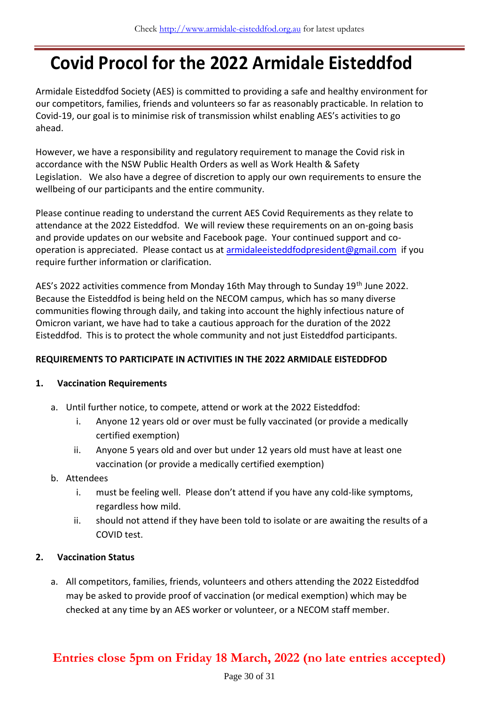# **Covid Procol for the 2022 Armidale Eisteddfod**

Armidale Eisteddfod Society (AES) is committed to providing a safe and healthy environment for our competitors, families, friends and volunteers so far as reasonably practicable. In relation to Covid-19, our goal is to minimise risk of transmission whilst enabling AES's activities to go ahead.

However, we have a responsibility and regulatory requirement to manage the Covid risk in accordance with the NSW Public Health Orders as well as Work Health & Safety Legislation. We also have a degree of discretion to apply our own requirements to ensure the wellbeing of our participants and the entire community.

Please continue reading to understand the current AES Covid Requirements as they relate to attendance at the 2022 Eisteddfod. We will review these requirements on an on-going basis and provide updates on our website and Facebook page. Your continued support and cooperation is appreciated. Please contact us a[t armidaleeisteddfodpresident@gmail.com](mailto:armidaleeisteddfodpresident@gmail.com) if you require further information or clarification.

AES's 2022 activities commence from Monday 16th May through to Sunday 19<sup>th</sup> June 2022. Because the Eisteddfod is being held on the NECOM campus, which has so many diverse communities flowing through daily, and taking into account the highly infectious nature of Omicron variant, we have had to take a cautious approach for the duration of the 2022 Eisteddfod. This is to protect the whole community and not just Eisteddfod participants.

#### **REQUIREMENTS TO PARTICIPATE IN ACTIVITIES IN THE 2022 ARMIDALE EISTEDDFOD**

#### **1. Vaccination Requirements**

- a. Until further notice, to compete, attend or work at the 2022 Eisteddfod:
	- i. Anyone 12 years old or over must be fully vaccinated (or provide a medically certified exemption)
	- ii. Anyone 5 years old and over but under 12 years old must have at least one vaccination (or provide a medically certified exemption)

#### b. Attendees

- i. must be feeling well. Please don't attend if you have any cold-like symptoms, regardless how mild.
- ii. should not attend if they have been told to isolate or are awaiting the results of a COVID test.

#### **2. Vaccination Status**

a. All competitors, families, friends, volunteers and others attending the 2022 Eisteddfod may be asked to provide proof of vaccination (or medical exemption) which may be checked at any time by an AES worker or volunteer, or a NECOM staff member.